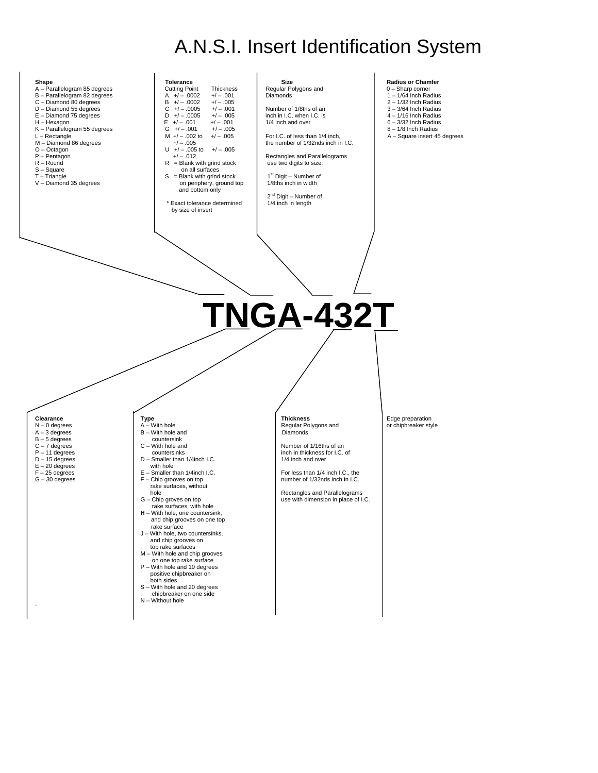# A.N.S.I. Insert Identification System

| Shape<br>A - Parallelogram 85 degrees<br>B - Parallelogram 82 degrees<br>C - Diamond 80 degrees<br>D - Diamond 55 degrees<br>E - Diamond 75 degrees<br>H - Hexagon<br>K - Parallelogram 55 degrees<br>$L -$ Rectangle<br>M - Diamond 86 degrees<br>$O - Octagon$<br>$P - Pentagon$<br>$R - Round$<br>S-Square<br>$T - Triangle$<br>V - Diamond 35 degrees | Tolerance<br><b>Cutting Point</b><br>Thickness<br>$A +/- .0002$<br>$+/-.001$<br>$B +/-.0002$<br>$+/-.005$<br>$+/-.001$<br>$C$ +/ - .0005<br>$D + / - .0005$<br>$+/- .005$<br>$E +/- .001$<br>$+/-.001$<br>$G +/- .001$<br>$+/- .005$<br>$M +/- .002$ to<br>$+/-.005$<br>$+/- .005$<br>$U + / -0.005$ to $+ / -0.005$<br>$+/- .012$<br>$R =$ Blank with grind stock<br>on all surfaces<br>$S = Blank with$ grind stock<br>on periphery, ground top<br>and bottom only<br>* Exact tolerance determined<br>by size of insert                                                     | Size<br>Regular Polygons and<br>Diamonds<br>Number of 1/8ths of an<br>inch in I.C. when I.C. is<br>1/4 inch and over<br>For I.C. of less than 1/4 inch,<br>the number of 1/32nds inch in I.C.<br>Rectangles and Parallelograms<br>use two digits to size:<br>1 <sup>st</sup> Digit - Number of<br>1/8ths inch in width<br>$2^{nd}$ Digit – Number of<br>1/4 inch in length | <b>Radius or Chamfer</b><br>$0 -$ Sharp corner<br>$1 - 1/64$ Inch Radius<br>$2 - 1/32$ Inch Radius<br>$3 - 3/64$ Inch Radius<br>$4 - 1/16$ Inch Radius<br>$6 - 3/32$ Inch Radius<br>$8 - 1/8$ Inch Radius<br>A - Square insert 45 degrees |
|-----------------------------------------------------------------------------------------------------------------------------------------------------------------------------------------------------------------------------------------------------------------------------------------------------------------------------------------------------------|-------------------------------------------------------------------------------------------------------------------------------------------------------------------------------------------------------------------------------------------------------------------------------------------------------------------------------------------------------------------------------------------------------------------------------------------------------------------------------------------------------------------------------------------------------------------------------|----------------------------------------------------------------------------------------------------------------------------------------------------------------------------------------------------------------------------------------------------------------------------------------------------------------------------------------------------------------------------|-------------------------------------------------------------------------------------------------------------------------------------------------------------------------------------------------------------------------------------------|
|                                                                                                                                                                                                                                                                                                                                                           |                                                                                                                                                                                                                                                                                                                                                                                                                                                                                                                                                                               | <b>TNGA-432T</b>                                                                                                                                                                                                                                                                                                                                                           |                                                                                                                                                                                                                                           |
|                                                                                                                                                                                                                                                                                                                                                           |                                                                                                                                                                                                                                                                                                                                                                                                                                                                                                                                                                               |                                                                                                                                                                                                                                                                                                                                                                            |                                                                                                                                                                                                                                           |
| Clearance<br>$N - 0$ degrees<br>$A - 3$ degrees<br>$B - 5$ degrees<br>$C - 7$ degrees<br>$P - 11$ degrees<br>$D - 15$ degrees<br>$E - 20$ degrees<br>$F - 25$ degrees<br>$G - 30$ degrees                                                                                                                                                                 | <b>Type</b><br>A - With hole<br>B - With hole and<br>countersink<br>$C - With hole and$<br>countersinks<br>D - Smaller than 1/4inch I.C.<br>with hole<br>E - Smaller than 1/4inch I.C.<br>$F -$ Chip grooves on top<br>rake surfaces, without<br>hole<br>G - Chip groves on top<br>rake surfaces, with hole<br>$H - W$ ith hole, one countersink,<br>and chip grooves on one top<br>rake surface<br>J - With hole, two countersinks,<br>and chip grooves on<br>top rake surfaces<br>M - With hole and chip grooves<br>on one top rake surface<br>P - With hole and 10 degrees | <b>Thickness</b><br>Regular Polygons and<br><b>Diamonds</b><br>Number of 1/16ths of an<br>inch in thickness for I.C. of<br>1/4 inch and over<br>For less than 1/4 inch I.C., the<br>number of 1/32nds inch in I.C.<br>Rectangles and Parallelograms<br>use with dimension in place of I.C.                                                                                 | Edge preparation<br>or chipbreaker style                                                                                                                                                                                                  |

- 
- 
- positive chipbreaker on<br>
both sides<br>
S With hole and 20 degrees<br>
chipbreaker on one side<br>
N Without hole
	-

the contract of the contract of

- 
- 
- 
- 
- 
-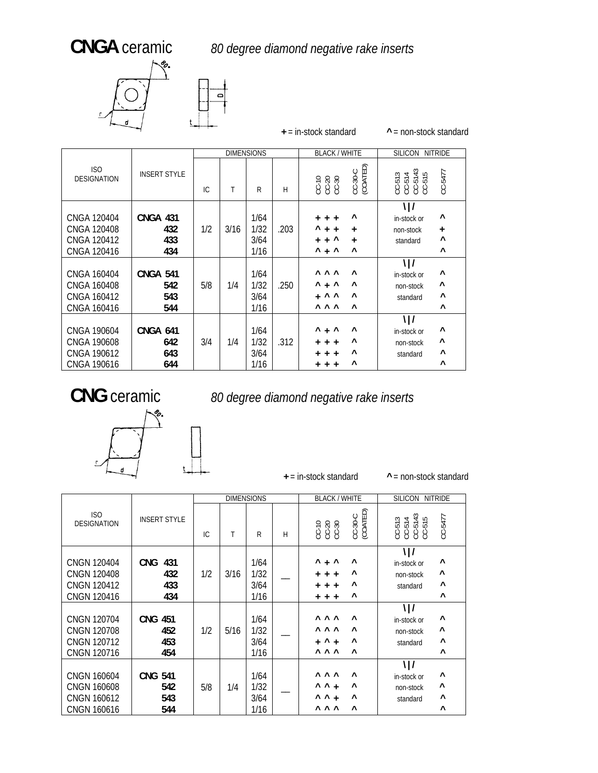## **CNGA** ceramic *80 degree diamond negative rake inserts*



|        |  |                   | $+$ = in-stock standard |
|--------|--|-------------------|-------------------------|
|        |  | <b>DIMENSIONS</b> | <b>BLACK / WHITE</b>    |
| $\sim$ |  |                   |                         |

**^** = non-stock standard

|                                                                        |                                      |     |      | <b>DIMENSIONS</b>            |      | <b>BLACK / WHITE</b>                                                                                                              | <b>SILICON</b><br><b>NITRIDE</b>                                                                            |
|------------------------------------------------------------------------|--------------------------------------|-----|------|------------------------------|------|-----------------------------------------------------------------------------------------------------------------------------------|-------------------------------------------------------------------------------------------------------------|
| ISO<br><b>DESIGNATION</b>                                              | <b>INSERT STYLE</b>                  | IC. | Τ    | R                            | H    | CC-30-C<br>(COATED)<br>00-30<br>00-30<br>00-30                                                                                    | $CC-513$<br>$CC-514$<br>$CC-5143$<br>$CC-515$<br>CC-5477                                                    |
| CNGA 120404<br><b>CNGA 120408</b><br><b>CNGA 120412</b><br>CNGA 120416 | <b>CNGA 431</b><br>432<br>433<br>434 | 1/2 | 3/16 | 1/64<br>1/32<br>3/64<br>1/16 | .203 | Λ<br>$+ + +$<br>Λ<br>$+ +$<br>$\ddot{}$<br>$\lambda$<br>$+$<br>$\ddot{}$<br>$+$<br>$^{\wedge}$ + $^{\wedge}$<br>Λ                 | \ /<br>٨<br>in-stock or<br>non-stock<br>$\ddot{}$<br>$\wedge$<br>standard<br>$\wedge$                       |
| CNGA 160404<br>CNGA 160408<br>CNGA 160412<br>CNGA 160416               | <b>CNGA 541</b><br>542<br>543<br>544 | 5/8 | 1/4  | 1/64<br>1/32<br>3/64<br>1/16 | .250 | <b>AAA</b><br>$\lambda$<br>$^{\wedge}$ + $^{\wedge}$<br>Λ<br>$\wedge$ $\wedge$<br>$\wedge$<br>$\ddot{}$<br><b>AAA</b><br>$\wedge$ | $\frac{1}{2}$<br>۸<br>in-stock or<br>$\boldsymbol{\wedge}$<br>non-stock<br>$\wedge$<br>standard<br>$\wedge$ |
| <b>CNGA 190604</b><br>CNGA 190608<br>CNGA 190612<br>CNGA 190616        | <b>CNGA 641</b><br>642<br>643<br>644 | 3/4 | 1/4  | 1/64<br>1/32<br>3/64<br>1/16 | .312 | $^{\wedge}$ + $^{\wedge}$<br>Λ<br>Λ<br>$\ddot{}$<br>$+$ +<br>Λ<br>$+$ +<br>$^+$<br>$\wedge$<br>$+ + +$                            | $\frac{1}{2}$<br>۸<br>in-stock or<br>$\boldsymbol{\wedge}$<br>non-stock<br>۸<br>standard<br>$\wedge$        |





+ = in-stock standard

**+ ^** = non-stock standard

|                                                                               |                                        |     |      | <b>DIMENSIONS</b>            |   | <b>BLACK / WHITE</b>                                                                                            | <b>SILICON</b><br><b>NITRIDE</b>                                                                                                |
|-------------------------------------------------------------------------------|----------------------------------------|-----|------|------------------------------|---|-----------------------------------------------------------------------------------------------------------------|---------------------------------------------------------------------------------------------------------------------------------|
|                                                                               |                                        |     |      |                              |   |                                                                                                                 |                                                                                                                                 |
| ISO<br><b>DESIGNATION</b>                                                     | <b>INSERT STYLE</b>                    | IC. | T    | R                            | H | CC-30-C<br>(COATED)<br>CC-10<br>CC-30<br>CC-30                                                                  | $\begin{array}{c} \text{CC-513} \\ \text{CC-514} \\ \text{CC-5143} \\ \text{CC-515} \end{array}$<br>CC-5477                     |
| <b>CNGN 120404</b><br><b>CNGN 120408</b><br>CNGN 120412<br><b>CNGN 120416</b> | <b>CNG</b><br>431<br>432<br>433<br>434 | 1/2 | 3/16 | 1/64<br>1/32<br>3/64<br>1/16 |   | $^{\wedge}$ + $^{\wedge}$<br>$\wedge$<br>$\wedge$<br>$+ + +$<br>Λ<br>$+$ +<br>$\ddot{}$<br>$\wedge$<br>$+ + +$  | $\frac{1}{2}$<br>$\boldsymbol{\wedge}$<br>in-stock or<br>$\wedge$<br>non-stock<br>$\boldsymbol{\wedge}$<br>standard<br>$\wedge$ |
| <b>CNGN 120704</b><br><b>CNGN 120708</b><br>CNGN 120712<br>CNGN 120716        | <b>CNG 451</b><br>452<br>453<br>454    | 1/2 | 5/16 | 1/64<br>1/32<br>3/64<br>1/16 |   | <b>AAA</b><br>$\wedge$<br><b>AAA</b><br>$\wedge$<br>$\wedge$<br>$^{\wedge}$ +<br>$+$<br><b>AAA</b><br>$\wedge$  | $\frac{1}{2}$<br>$\boldsymbol{\wedge}$<br>in-stock or<br>Λ<br>non-stock<br>Λ<br>standard<br>$\wedge$                            |
| <b>CNGN 160604</b><br><b>CNGN 160608</b><br><b>CNGN 160612</b><br>CNGN 160616 | <b>CNG 541</b><br>542<br>543<br>544    | 5/8 | 1/4  | 1/64<br>1/32<br>3/64<br>1/16 |   | <b>AAA</b><br>$\wedge$<br>$\wedge$ $\wedge$ +<br>$\wedge$<br>$\wedge$ $\wedge$ +<br>Λ<br><b>AAA</b><br>$\wedge$ | $\frac{1}{2}$<br>۸<br>in-stock or<br>$\boldsymbol{\wedge}$<br>non-stock<br>$\wedge$<br>standard<br>$\wedge$                     |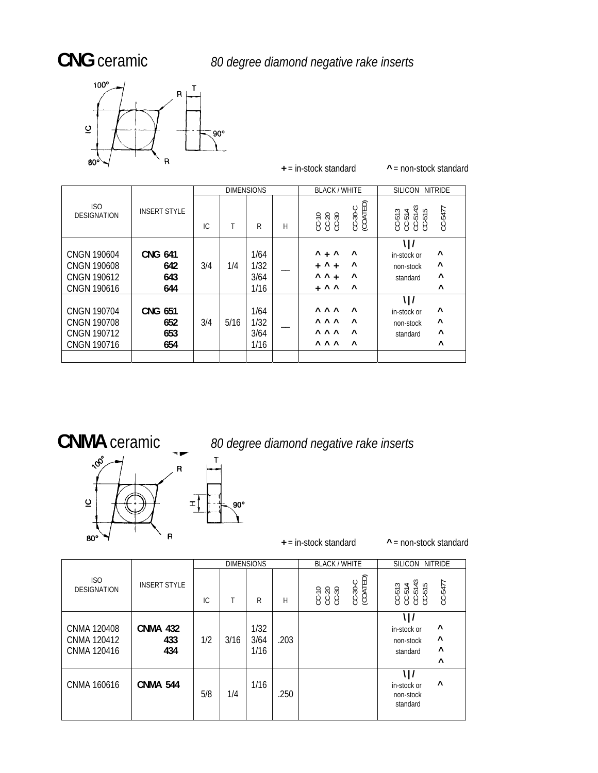ISO



 $\frac{1}{\sqrt{1-\frac{1}{\sqrt{1-\frac{1}{\sqrt{1-\frac{1}{\sqrt{1-\frac{1}{\sqrt{1-\frac{1}{\sqrt{1-\frac{1}{\sqrt{1-\frac{1}{\sqrt{1-\frac{1}{\sqrt{1-\frac{1}{\sqrt{1-\frac{1}{\sqrt{1-\frac{1}{\sqrt{1-\frac{1}{\sqrt{1-\frac{1}{\sqrt{1-\frac{1}{\sqrt{1-\frac{1}{\sqrt{1-\frac{1}{\sqrt{1-\frac{1}{\sqrt{1-\frac{1}{\sqrt{1-\frac{1}{\sqrt{1-\frac{1}{\sqrt{1-\frac{1}{\sqrt{1-\frac{1}{\sqrt{1-\frac{1}{\sqrt{1-\frac{1$ DIMENSIONS + = in-stock standard **^** = non-stock standard BLACK / WHITE | SILICON NITRIDE ISO ISO INSERT STYLE IC T R H CC-10 CC-20 CC-30 CC-30-C (COATED) CC-513 CC-514 CC-5143 CC-515 CC-5477  $\mathcal{N}$  | *|* 

|                                                                               |                                     | IC. |      | R                            | Н | 533<br>ë<br>$\circ \circ \circ$                                                                           | 5555<br>ँ<br>$\circ$<br>$\circ\circ\circ\circ$                                        |
|-------------------------------------------------------------------------------|-------------------------------------|-----|------|------------------------------|---|-----------------------------------------------------------------------------------------------------------|---------------------------------------------------------------------------------------|
| <b>CNGN 190604</b><br><b>CNGN 190608</b><br>CNGN 190612<br>CNGN 190616        | <b>CNG 641</b><br>642<br>643<br>644 | 3/4 | 1/4  | 1/64<br>1/32<br>3/64<br>1/16 |   | Λ<br>$\lambda$<br>$+$ ^<br>$\wedge$<br>$+$ $+$<br>$\wedge$ $\wedge$ +<br>$\lambda$<br>$\wedge$<br>$+$ ^ ^ | $\wedge$<br>in-stock or<br>$\wedge$<br>non-stock<br>$\wedge$<br>standard<br>$\wedge$  |
| CNGN 190704<br><b>CNGN 190708</b><br><b>CNGN 190712</b><br><b>CNGN 190716</b> | <b>CNG 651</b><br>652<br>653<br>654 | 3/4 | 5/16 | 1/64<br>1/32<br>3/64<br>1/16 |   | <b>AAA</b><br>$\wedge$<br><b>AAA</b><br>$\lambda$<br><b>AAA</b><br>$\lambda$<br>$\lambda$<br><b>AAA</b>   | $\lambda$<br>in-stock or<br>$\wedge$<br>non-stock<br>$\wedge$<br>standard<br>$\wedge$ |
|                                                                               |                                     |     |      |                              |   |                                                                                                           |                                                                                       |

## **CNMA** ceramic *<sup>0</sup> <sup>d</sup> gre iam nd <sup>e</sup> 8 e e d o negative rak inserts*



**+**  $\rightarrow$  **P**  $\rightarrow$  **P**  $\rightarrow$  **P**  $\rightarrow$  **P**  $\rightarrow$  **P**  $\rightarrow$  **P**  $\rightarrow$  **P**  $\rightarrow$  **P**  $\rightarrow$  **P**  $\rightarrow$  **P**  $\rightarrow$  **P**  $\rightarrow$  **P**  $\rightarrow$  **P**  $\rightarrow$  **P**  $\rightarrow$  **P**  $\rightarrow$  **P**  $\rightarrow$  **P**  $\rightarrow$  **P**  $\rightarrow$  **P**  $\rightarrow$  **P**  $\rightarrow$  **P**  $\rightarrow$  **P**  $\rightarrow$  **P**  $\rightarrow$  **P**

|                                           |                               |     |      | <b>DIMENSIONS</b>    |      | <b>BLACK / WHITE</b>  | SILICON<br><b>NITRIDE</b>                                              |
|-------------------------------------------|-------------------------------|-----|------|----------------------|------|-----------------------|------------------------------------------------------------------------|
| ISO<br><b>DESIGNATION</b>                 | <b>INSERT STYLE</b>           | IC. |      | R                    | Н    | (COATED)<br>$CC-30-C$ | $m \frac{4}{3}$ 5 $m$<br>CC-5477<br>គឺគឺគឺគឺ<br>ខ្ញុំខ្ញុំខ្ញុំ        |
| CNMA 120408<br>CNMA 120412<br>CNMA 120416 | <b>CNMA 432</b><br>433<br>434 | 1/2 | 3/16 | 1/32<br>3/64<br>1/16 | .203 |                       | \ /<br>٨<br>in-stock or<br>Λ<br>non-stock<br>٨<br>standard<br>$\wedge$ |
| CNMA 160616                               | <b>CNMA 544</b>               | 5/8 | 1/4  | 1/16                 | .250 |                       | \ /<br>Λ<br>in-stock or<br>non-stock<br>standard                       |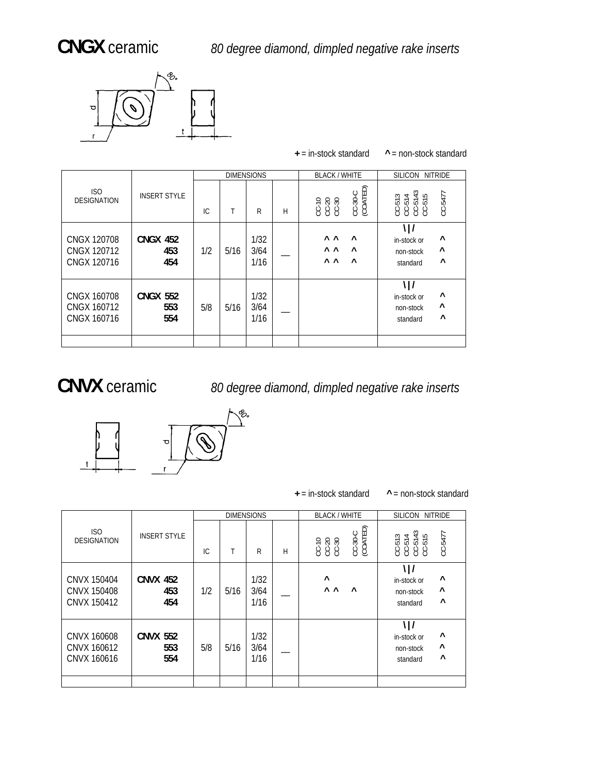

|                                           |                               |     |      | <b>DIMENSIONS</b>    |   | <b>BLACK / WHITE</b>                                                                            | SILICON NITRIDE                                            |
|-------------------------------------------|-------------------------------|-----|------|----------------------|---|-------------------------------------------------------------------------------------------------|------------------------------------------------------------|
| ISO<br><b>DESIGNATION</b>                 | <b>INSERT STYLE</b>           | IC  | Τ    | R                    | H | CC-30-C<br>(COATED)<br>CC-20<br>CC-30<br>CC-30                                                  | සි ය<br>CC-5477<br>$\frac{1}{2}$<br>ត្តត្តត្ត<br>ទី១១១     |
| CNGX 120708<br>CNGX 120712<br>CNGX 120716 | <b>CNGX 452</b><br>453<br>454 | 1/2 | 5/16 | 1/32<br>3/64<br>1/16 |   | $\wedge$ $\wedge$<br>$\wedge$<br>$\wedge$ $\wedge$<br>$\wedge$<br>$\wedge$ $\wedge$<br>$\wedge$ | ٨<br>in-stock or<br>۸<br>non-stock<br>Λ<br>standard        |
| CNGX 160708<br>CNGX 160712<br>CNGX 160716 | <b>CNGX 552</b><br>553<br>554 | 5/8 | 5/16 | 1/32<br>3/64<br>1/16 |   |                                                                                                 | \ /<br>٨<br>in-stock or<br>Λ<br>non-stock<br>Λ<br>standard |
|                                           |                               |     |      |                      |   |                                                                                                 |                                                            |

**+** = in-stock standard **^** = non-stock standard

 **CNVX** ceramic *80 degree diamond, dimpled negative rake inserts*



**+** = in-stock standard **^** = non-stock standard

|                                           |                               |     |      | <b>DIMENSIONS</b>    |   | <b>BLACK / WHITE</b>                    | SILICON NITRIDE                                                                             |
|-------------------------------------------|-------------------------------|-----|------|----------------------|---|-----------------------------------------|---------------------------------------------------------------------------------------------|
| ISO<br><b>DESIGNATION</b>                 | <b>INSERT STYLE</b>           | IC. |      | R                    | H | (COATED)<br>$CC-30-C$<br>00.30<br>00.30 | $\frac{3}{5}$<br>$CC - 5477$<br>$\overline{\phantom{a}}$<br>S<br>ដូង ដូ<br>ប្រមូល<br>ប្រមូល |
| CNVX 150404<br>CNVX 150408<br>CNVX 150412 | <b>CNVX 452</b><br>453<br>454 | 1/2 | 5/16 | 1/32<br>3/64<br>1/16 |   | Λ<br>$\wedge$ $\wedge$<br>$\lambda$     | \ /<br>$\boldsymbol{\wedge}$<br>in-stock or<br>۸<br>non-stock<br>$\wedge$<br>standard       |
| CNVX 160608<br>CNVX 160612<br>CNVX 160616 | <b>CNVX 552</b><br>553<br>554 | 5/8 | 5/16 | 1/32<br>3/64<br>1/16 |   |                                         | \ /<br>۸<br>in-stock or<br>۸<br>non-stock<br>$\boldsymbol{\wedge}$<br>standard              |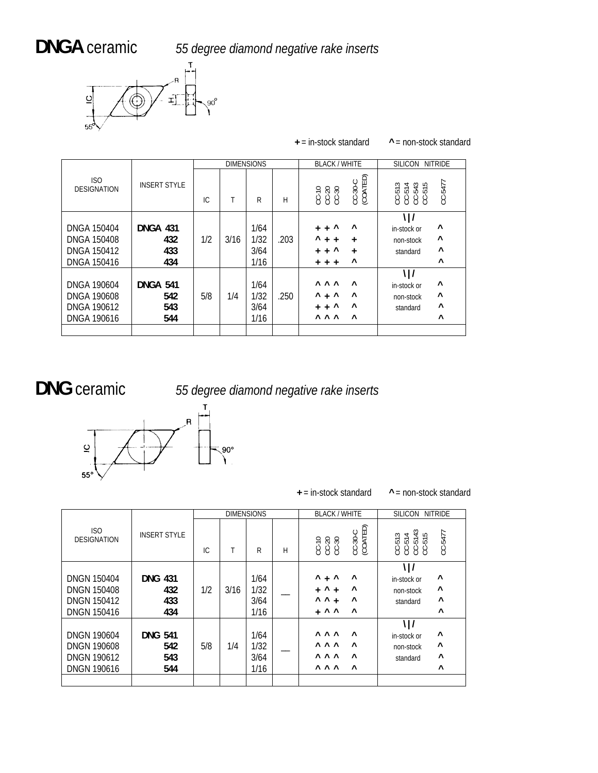**DNGA** ceramic *55 degree diamond negative rake inserts* 



|                                                                               |                                      |     | <b>DIMENSIONS</b> |                              |      | <b>BLACK / WHITE</b>                                                                                                     | <b>SILICON</b><br><b>NITRIDE</b>                                                    |
|-------------------------------------------------------------------------------|--------------------------------------|-----|-------------------|------------------------------|------|--------------------------------------------------------------------------------------------------------------------------|-------------------------------------------------------------------------------------|
| ISO<br><b>DESIGNATION</b>                                                     | <b>INSERT STYLE</b>                  | IC  | T                 | R                            | H    | CC-30-C<br>(COATED)<br>00<br>000<br>000                                                                                  | CC-5477<br>ຕ <del>⊲</del> ຕ ഥ<br>តុ តុ តុ តុ<br>8888                                |
| DNGA 150404<br><b>DNGA 150408</b><br>DNGA 150412<br><b>DNGA 150416</b>        | <b>DNGA 431</b><br>432<br>433<br>434 | 1/2 | 3/16              | 1/64<br>1/32<br>3/64<br>1/16 | .203 | $\boldsymbol{\wedge}$<br>Λ<br>$+$<br>$+$<br>٨<br>$+$<br>$+$<br>$\ddot{}$<br>Λ<br>$+$<br>$+$<br>$\ddot{}$<br>۸<br>$+ + +$ | \ /<br>Λ<br>in-stock or<br>Λ<br>non-stock<br>$\boldsymbol{\wedge}$<br>standard<br>٨ |
| DNGA 190604<br><b>DNGA 190608</b><br><b>DNGA 190612</b><br><b>DNGA 190616</b> | <b>DNGA 541</b><br>542<br>543<br>544 | 5/8 | 1/4               | 1/64<br>1/32<br>3/64<br>1/16 | .250 | <b>AAA</b><br>$\wedge$<br>$+$ ^<br>Λ<br>$\wedge$<br>$+$ ^<br>Λ<br>$+$<br><b>AAA</b><br>$\wedge$                          | \ /<br>Λ<br>in-stock or<br>Λ<br>non-stock<br>$\wedge$<br>standard<br>$\wedge$       |

**+** = in-stock standard **^** = non-stock standard

## DNG ceramic

**NG** ceramic *55 degree diamond negative rake inserts*



### **+** = in-stock standard **^** = non-stock standard

|                                                                                      |                                     |     |      | <b>DIMENSIONS</b>            |   | <b>BLACK / WHITE</b>                                                                                                                | SILICON NITRIDE                                                                                                          |
|--------------------------------------------------------------------------------------|-------------------------------------|-----|------|------------------------------|---|-------------------------------------------------------------------------------------------------------------------------------------|--------------------------------------------------------------------------------------------------------------------------|
| ISO<br><b>DESIGNATION</b>                                                            | <b>INSERT STYLE</b>                 | IC  |      | R                            | Н | (COATED)<br>$CC-30-C$<br>CC-20<br>CC-30<br>CC-30                                                                                    | $\frac{3}{4}$<br>CC-5477<br>$\overline{\phantom{a}}$<br>S<br>ដូច្នុំចុំដូ<br>ទទួនទទួ                                     |
| <b>DNGN 150404</b><br><b>DNGN 150408</b><br><b>DNGN 150412</b><br><b>DNGN 150416</b> | <b>DNG 431</b><br>432<br>433<br>434 | 1/2 | 3/16 | 1/64<br>1/32<br>3/64<br>1/16 |   | $^{\wedge}$ + $^{\wedge}$<br>$\wedge$<br>Λ<br>$\lambda$<br>$\ddot{}$<br>$+$<br>$\wedge$ $\wedge$<br>۸<br>$+$<br>$+$ ^ ^<br>$\wedge$ | $\frac{1}{2}$<br>$\boldsymbol{\wedge}$<br>in-stock or<br>$\boldsymbol{\wedge}$<br>non-stock<br>Λ<br>standard<br>$\wedge$ |
| <b>DNGN 190604</b><br><b>DNGN 190608</b><br><b>DNGN 190612</b><br><b>DNGN 190616</b> | <b>DNG 541</b><br>542<br>543<br>544 | 5/8 | 1/4  | 1/64<br>1/32<br>3/64<br>1/16 |   | <b>AAA</b><br>$\wedge$<br><b>AAA</b><br>$\wedge$<br><b>AAA</b><br>$\wedge$<br><b>AAA</b><br>$\wedge$                                | $\frac{1}{2}$<br>۸<br>in-stock or<br>$\boldsymbol{\wedge}$<br>non-stock<br>Λ<br>standard<br>$\wedge$                     |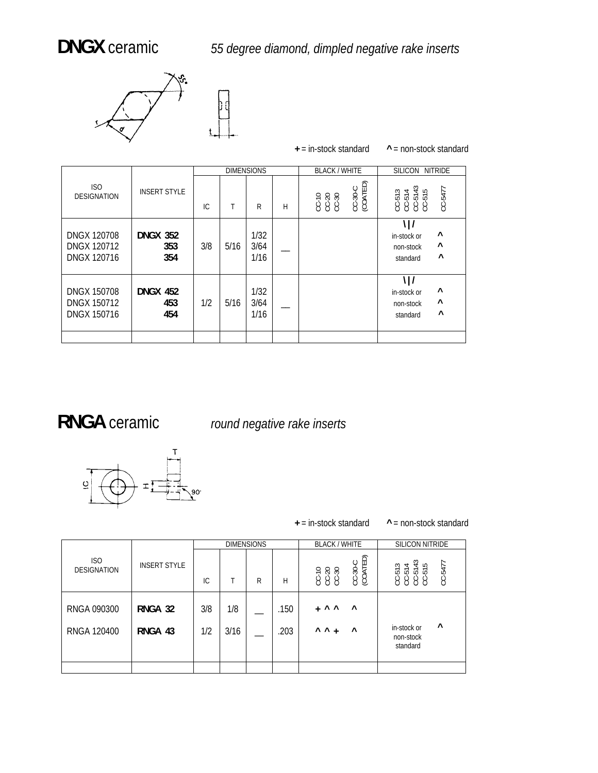

|                                                                |                               |     |      |                      |   | $+$ = in-stock standard                        | $^{\wedge}$ = non-stock standard                                                                          |
|----------------------------------------------------------------|-------------------------------|-----|------|----------------------|---|------------------------------------------------|-----------------------------------------------------------------------------------------------------------|
|                                                                |                               |     |      | <b>DIMENSIONS</b>    |   | <b>BLACK / WHITE</b>                           | <b>SILICON</b><br><b>NITRIDE</b>                                                                          |
| ISO<br><b>DESIGNATION</b>                                      | <b>INSERT STYLE</b>           | IC  | T    | R                    | H | CC-30-C<br>(COATED)<br>CC-20<br>CC-20<br>CC-30 | $\frac{3}{5}$<br>CC-5477<br>$\omega$ 4<br>ដូចិត្តដឹ<br>ទី១១១                                              |
| <b>DNGX 120708</b><br><b>DNGX 120712</b><br>DNGX 120716        | <b>DNGX 352</b><br>353<br>354 | 3/8 | 5/16 | 1/32<br>3/64<br>1/16 |   |                                                | \ /<br>$\boldsymbol{\wedge}$<br>in-stock or<br>$\boldsymbol{\wedge}$<br>non-stock<br>$\wedge$<br>standard |
| <b>DNGX 150708</b><br><b>DNGX 150712</b><br><b>DNGX 150716</b> | <b>DNGX 452</b><br>453<br>454 | 1/2 | 5/16 | 1/32<br>3/64<br>1/16 |   |                                                | $\frac{1}{2}$<br>$\boldsymbol{\wedge}$<br>in-stock or<br>$\wedge$<br>non-stock<br>Λ<br>standard           |
|                                                                |                               |     |      |                      |   |                                                |                                                                                                           |

## **RNGA** ceramic *round negative rake inserts*



 $+$  = in-stock standard  $\gamma$  = non-stock standard

|                           |                     |     |      | <b>DIMENSIONS</b> |      | <b>BLACK / WHITE</b>                           | <b>SILICON NITRIDE</b>                                                                                   |
|---------------------------|---------------------|-----|------|-------------------|------|------------------------------------------------|----------------------------------------------------------------------------------------------------------|
| ISO<br><b>DESIGNATION</b> | <b>INSERT STYLE</b> | IC. |      | R                 | H    | CC-30-C<br>(COATED)<br>CC-20<br>CC-30<br>CC-30 | $\frac{3}{5}$<br>CC-5477<br>$\overline{\phantom{0}}$<br>ភូគភូគ<br>ប៉ូប៉ូប៉ូប៉ូ<br>$\circ\circ\circ\circ$ |
| RNGA 090300               | RNGA 32             | 3/8 | 1/8  |                   | .150 | $\wedge$ $\wedge$<br>$\wedge$<br>$+$           |                                                                                                          |
| RNGA 120400               | RNGA 43             | 1/2 | 3/16 |                   | .203 | $\wedge$ $\wedge$ +<br>$\boldsymbol{\wedge}$   | ۸<br>in-stock or<br>non-stock<br>standard                                                                |
|                           |                     |     |      |                   |      |                                                |                                                                                                          |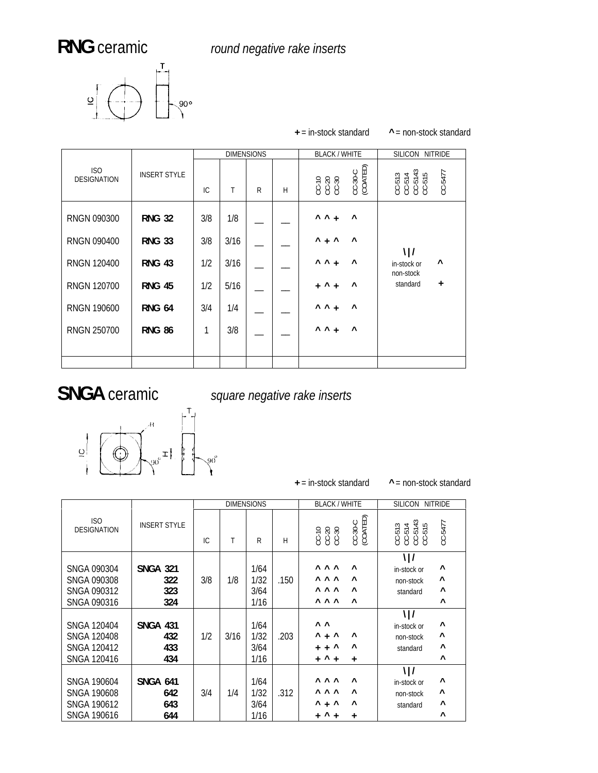RNG ceramic *round negative rake inserts* 

 $+$  = in-stock standard



|                           |                     |     |      | <b>DIMENSIONS</b> |   | <b>BLACK / WHITE</b>                           | SILICON NITRIDE                                          |
|---------------------------|---------------------|-----|------|-------------------|---|------------------------------------------------|----------------------------------------------------------|
| ISO<br><b>DESIGNATION</b> | <b>INSERT STYLE</b> | IC. | Τ    | R                 | Н | CC-30-C<br>(COATED)<br>CC-70<br>CC-30<br>CC-30 | $CC-513$<br>$CC-514$<br>$CC-5143$<br>$CC-515$<br>CC-5477 |
| RNGN 090300               | <b>RNG 32</b>       | 3/8 | 1/8  |                   |   | $\wedge$ $\wedge$ +<br>Λ                       |                                                          |
| RNGN 090400               | <b>RNG 33</b>       | 3/8 | 3/16 |                   |   | $^{\wedge}$ + $^{\wedge}$<br>$\wedge$          | $\frac{1}{2}$                                            |
| RNGN 120400               | <b>RNG 43</b>       | 1/2 | 3/16 |                   |   | $\wedge$ $\wedge$ +<br>Λ                       | $\wedge$<br>in-stock or<br>non-stock                     |
| <b>RNGN 120700</b>        | <b>RNG 45</b>       | 1/2 | 5/16 |                   |   | Λ<br>$\wedge$<br>$+$<br>$\ddot{}$              | standard<br>$+$                                          |
| <b>RNGN 190600</b>        | <b>RNG 64</b>       | 3/4 | 1/4  |                   |   | $\wedge$ $\wedge$ +<br>$\wedge$                |                                                          |
| <b>RNGN 250700</b>        | <b>RNG 86</b>       | 1   | 3/8  |                   |   | $\wedge$ $\wedge$ +<br>Λ                       |                                                          |
|                           |                     |     |      |                   |   |                                                |                                                          |
|                           |                     |     |      |                   |   |                                                |                                                          |

 **SNGA** ceramic *square negative rake inserts*



**+** = in-stock standard

 $^{\wedge}$  = non-stock standard

**+** = in-stock standa **^** = non-stock standard

|                                                                               |                                      |     |      | <b>DIMENSIONS</b>            |      | <b>BLACK / WHITE</b>                                                                                                                 | <b>SILICON</b><br><b>NITRIDE</b>                                                               |
|-------------------------------------------------------------------------------|--------------------------------------|-----|------|------------------------------|------|--------------------------------------------------------------------------------------------------------------------------------------|------------------------------------------------------------------------------------------------|
| ISO<br><b>DESIGNATION</b>                                                     | <b>INSERT STYLE</b>                  | IC. | Τ    | R                            | H    | CC-30-C<br>(COATED)<br>00.30<br>00.30<br>00.30                                                                                       | $\frac{2}{4}$ b<br>CC-5477<br>$\overline{\phantom{0}}$<br>3<br>$\frac{1}{10}$ ភូ ភូ ភូ<br>8888 |
| SNGA 090304<br><b>SNGA 090308</b><br>SNGA 090312<br>SNGA 090316               | <b>SNGA 321</b><br>322<br>323<br>324 | 3/8 | 1/8  | 1/64<br>1/32<br>3/64<br>1/16 | .150 | <b>AAA</b><br>$\lambda$<br><b>AAA</b><br>$\lambda$<br><b>AAA</b><br>$\lambda$<br><b>AAA</b><br>$\wedge$                              | $\frac{1}{2}$<br>۸<br>in-stock or<br>Λ<br>non-stock<br>٨<br>standard<br>$\boldsymbol{\wedge}$  |
| <b>SNGA 120404</b><br><b>SNGA 120408</b><br>SNGA 120412<br><b>SNGA 120416</b> | <b>SNGA 431</b><br>432<br>433<br>434 | 1/2 | 3/16 | 1/64<br>1/32<br>3/64<br>1/16 | .203 | $\wedge$ $\wedge$<br>$^{\wedge}$ + $^{\wedge}$<br>Λ<br>$+$ + $\sim$<br>$\wedge$<br>$\lambda$<br>$+$<br>$+$<br>$\ddot{}$              | $\frac{1}{2}$<br>۸<br>in-stock or<br>Λ<br>non-stock<br>٨<br>standard<br>$\wedge$               |
| <b>SNGA 190604</b><br><b>SNGA 190608</b><br><b>SNGA 190612</b><br>SNGA 190616 | <b>SNGA 641</b><br>642<br>643<br>644 | 3/4 | 1/4  | 1/64<br>1/32<br>3/64<br>1/16 | .312 | <b>AAA</b><br>$\lambda$<br><b>AAA</b><br>$\wedge$<br>$^{\wedge}$ + $^{\wedge}$<br>Λ<br>Λ<br>$\overline{+}$<br>$\ddot{}$<br>$\ddot{}$ | $\frac{1}{2}$<br>۸<br>in-stock or<br>Λ<br>non-stock<br>٨<br>standard<br>$\wedge$               |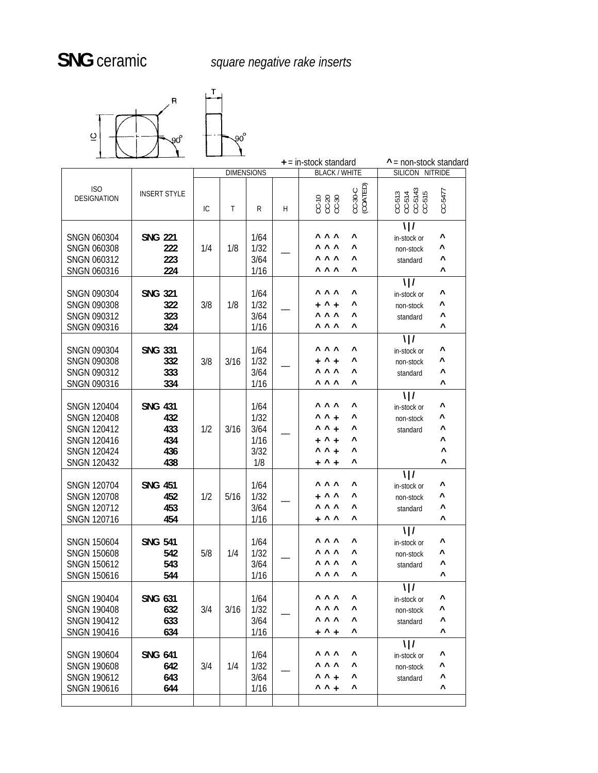

|                                                                                                                                  |                                                   |     |      |                                             |   | $+$ = in-stock standard                                                                                                             | $^{\wedge}$ = non-stock standard                                                    |
|----------------------------------------------------------------------------------------------------------------------------------|---------------------------------------------------|-----|------|---------------------------------------------|---|-------------------------------------------------------------------------------------------------------------------------------------|-------------------------------------------------------------------------------------|
|                                                                                                                                  |                                                   |     |      | <b>DIMENSIONS</b>                           |   | <b>BLACK / WHITE</b>                                                                                                                | SILICON NITRIDE                                                                     |
| ISO<br><b>DESIGNATION</b>                                                                                                        | <b>INSERT STYLE</b>                               | ТC  | T    | $\mathsf{R}$                                | H | CC-30-C<br>(COATED)<br>$CC-30CC-30$                                                                                                 | $CC-513$<br>$CC-514$<br>$CC-5143$<br>$CC-515$<br>CC-5477                            |
| SNGN 060304<br><b>SNGN 060308</b><br>SNGN 060312<br><b>SNGN 060316</b>                                                           | <b>SNG 221</b><br>222<br>223<br>224               | 1/4 | 1/8  | 1/64<br>1/32<br>3/64<br>1/16                |   | <b>AAA</b><br>Λ<br><b>AAA</b><br>ν<br><b>AAA</b><br>Λ<br><b>AAA</b><br>Λ                                                            | $\frac{1}{2}$<br>٨<br>in-stock or<br>Λ<br>non-stock<br>۸<br>standard<br>۸           |
| SNGN 090304<br><b>SNGN 090308</b><br>SNGN 090312<br>SNGN 090316                                                                  | <b>SNG 321</b><br>322<br>323<br>324               | 3/8 | 1/8  | 1/64<br>1/32<br>3/64<br>1/16                |   | <b>AAA</b><br>۸<br>$^{\wedge}$ +<br>۸<br>$+$<br><b>A</b> A A<br>۸<br><b>AAA</b><br>۸                                                | \ /<br>Λ<br>in-stock or<br>Λ<br>non-stock<br>۸<br>standard<br>۸                     |
| SNGN 090304<br><b>SNGN 090308</b><br>SNGN 090312<br>SNGN 090316                                                                  | <b>SNG 331</b><br>332<br>333<br>334               | 3/8 | 3/16 | 1/64<br>1/32<br>3/64<br>1/16                |   | $\wedge$ $\wedge$ $\wedge$<br>Λ<br>Λ<br>$^{\wedge}$ +<br>$+$<br><b>AAA</b><br>ν<br><b>AAA</b><br>Λ                                  | $\frac{1}{2}$<br>Λ<br>in-stock or<br>Λ<br>non-stock<br>Λ<br>standard<br>۸           |
| <b>SNGN 120404</b><br><b>SNGN 120408</b><br><b>SNGN 120412</b><br><b>SNGN 120416</b><br><b>SNGN 120424</b><br><b>SNGN 120432</b> | <b>SNG 431</b><br>432<br>433<br>434<br>436<br>438 | 1/2 | 3/16 | 1/64<br>1/32<br>3/64<br>1/16<br>3/32<br>1/8 |   | <b>AAA</b><br>۸<br>$\wedge$ $\wedge$ +<br>۸<br>$\wedge$ $\wedge$ +<br>۸<br>$+$ ^ +<br>Λ<br>$\wedge$ $\wedge$ +<br>۸<br>۸<br>$+$ ^ + | $\frac{1}{2}$<br>Λ<br>in-stock or<br>۸<br>non-stock<br>Λ<br>standard<br>Λ<br>Λ<br>Λ |
| <b>SNGN 120704</b><br><b>SNGN 120708</b><br><b>SNGN 120712</b><br><b>SNGN 120716</b>                                             | <b>SNG 451</b><br>452<br>453<br>454               | 1/2 | 5/16 | 1/64<br>1/32<br>3/64<br>1/16                |   | <b>AAA</b><br>۸<br>$+$ ^ ^<br>Λ<br><b>AAA</b><br>Λ<br>$+$ ^ ^<br>Λ                                                                  | $\frac{1}{2}$<br>Λ<br>in-stock or<br>Λ<br>non-stock<br>۸<br>standard<br>۸           |
| <b>SNGN 150604</b><br><b>SNGN 150608</b><br><b>SNGN 150612</b><br><b>SNGN 150616</b>                                             | <b>SNG 541</b><br>542<br>543<br>544               | 5/8 | 1/4  | 1/64<br>1/32<br>3/64<br>1/16                |   | <b>AAA</b><br>Λ<br><b>AAA</b><br>Λ<br><b>AAA</b><br>Λ<br><b>AAA</b><br>ν                                                            | $\frac{1}{2}$<br>۸<br>in-stock or<br>۸<br>non-stock<br>٨<br>standard<br>Λ           |
| <b>SNGN 190404</b><br><b>SNGN 190408</b><br><b>SNGN 190412</b><br><b>SNGN 190416</b>                                             | <b>SNG 631</b><br>632<br>633<br>634               | 3/4 | 3/16 | 1/64<br>1/32<br>3/64<br>1/16                |   | <b>AAA</b><br>۸<br><b>AAA</b><br>۸<br>۸<br>$+$ $^{\wedge}$ +                                                                        | $\frac{1}{2}$<br>in-stock or<br>Λ<br>non-stock<br>۸<br>standard<br>۸                |
| <b>SNGN 190604</b><br><b>SNGN 190608</b><br><b>SNGN 190612</b><br><b>SNGN 190616</b>                                             | <b>SNG 641</b><br>642<br>643<br>644               | 3/4 | 1/4  | 1/64<br>1/32<br>3/64<br>1/16                |   | <b>AAA</b><br>۸<br><b>AAA</b><br>۸<br>$\wedge$ $\wedge$ +<br>۸<br>$\sim$ $\sim$ $+$<br>۸                                            | $\frac{1}{2}$<br>۸<br>in-stock or<br>Λ<br>non-stock<br>۸<br>standard<br>۸           |
|                                                                                                                                  |                                                   |     |      |                                             |   |                                                                                                                                     |                                                                                     |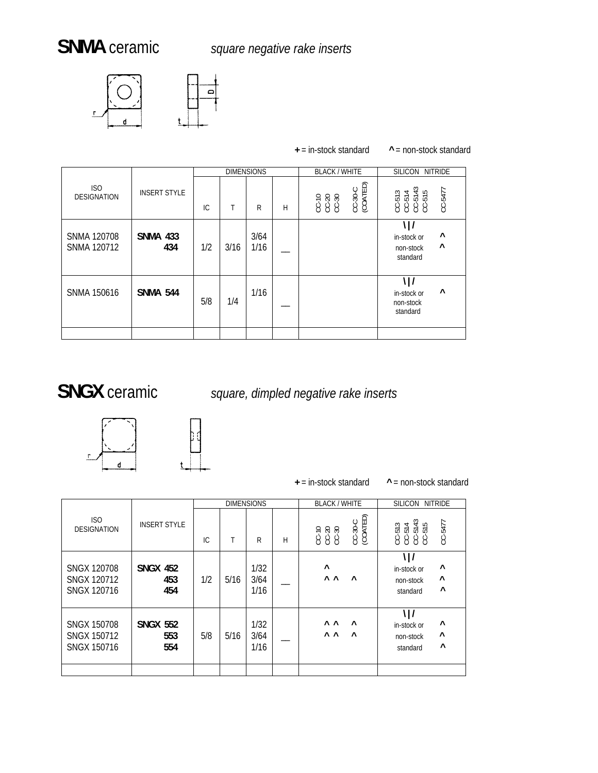

|                                          |                        |     |      |                   |   | $+$ = in-stock standard | $^{\wedge}$ = non-stock standard                                     |
|------------------------------------------|------------------------|-----|------|-------------------|---|-------------------------|----------------------------------------------------------------------|
|                                          |                        |     |      | <b>DIMENSIONS</b> |   | <b>BLACK / WHITE</b>    | <b>SILICON</b><br><b>NITRIDE</b>                                     |
| ISO<br><b>DESIGNATION</b>                | <b>INSERT STYLE</b>    | IC. | Τ    | R                 | Н | CC-30-C<br>(COATED)     | $CC-513$<br>$CC-514$<br>$CC-5143$<br>$CC-515$<br>CC-5477             |
| <b>SNMA 120708</b><br><b>SNMA 120712</b> | <b>SNMA 433</b><br>434 | 1/2 | 3/16 | 3/64<br>1/16      |   |                         | \ /<br>Λ<br>in-stock or<br>Λ<br>non-stock<br>standard                |
| <b>SNMA 150616</b>                       | <b>SNMA 544</b>        | 5/8 | 1/4  | 1/16              |   |                         | \ /<br>$\boldsymbol{\wedge}$<br>in-stock or<br>non-stock<br>standard |

### = in-stock standa **^** = non-stock standard

SNGX ceramic *square, dimpled negative rake inserts* 



## + = in-stock standard

 $^{\wedge}$  = non-stock standard

|                                                  |                               |     |      | <b>DIMENSIONS</b>    |   | <b>BLACK / WHITE</b>                                             | <b>SILICON</b><br>NITRIDE                                                                         |
|--------------------------------------------------|-------------------------------|-----|------|----------------------|---|------------------------------------------------------------------|---------------------------------------------------------------------------------------------------|
| ISO<br><b>DESIGNATION</b>                        | <b>INSERT STYLE</b>           | IC. | Τ    | R                    | H | : OATED)<br>CC-30-C<br>(COATEE<br>CC-10<br>CC-20<br>CC-30        | $\frac{3}{4}$ is<br>CC-5477<br>$\overline{\phantom{0}}$<br>$\sim$<br>ត្ត<br>ត្តត្តត្ត<br>ខេមីខំមី |
| SNGX 120708<br>SNGX 120712<br>SNGX 120716        | <b>SNGX 452</b><br>453<br>454 | 1/2 | 5/16 | 1/32<br>3/64<br>1/16 |   | Λ<br>$\wedge$ $\wedge$<br>$\lambda$                              | \   /<br>٨<br>in-stock or<br>٨<br>non-stock<br>٨<br>standard                                      |
| SNGX 150708<br>SNGX 150712<br><b>SNGX 150716</b> | <b>SNGX 552</b><br>553<br>554 | 5/8 | 5/16 | 1/32<br>3/64<br>1/16 |   | $\wedge$ $\wedge$<br>$\lambda$<br>$\wedge$ $\wedge$<br>$\lambda$ | $\frac{1}{2}$<br>۸<br>in-stock or<br>Λ<br>non-stock<br>٨<br>standard                              |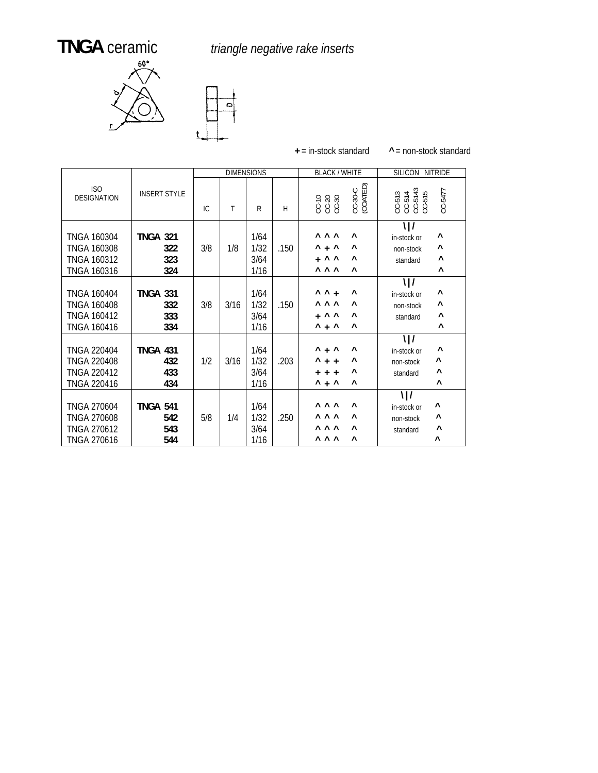# **TNGA** ceramic *triangle negative rake inserts*

 $\vert \circ \vert$ 





|                                                                               |                                      |     |      | <b>DIMENSIONS</b>            |      | <b>BLACK / WHITE</b>                                                                                                                                 | SILICON NITRIDE                                                                                             |
|-------------------------------------------------------------------------------|--------------------------------------|-----|------|------------------------------|------|------------------------------------------------------------------------------------------------------------------------------------------------------|-------------------------------------------------------------------------------------------------------------|
| <b>ISO</b><br><b>DESIGNATION</b>                                              | <b>INSERT STYLE</b>                  | IC. | Τ    | R                            | H    | CC-30-C<br>(COATED)<br>CC-10<br>CC-20<br>CC-30                                                                                                       | $\begin{array}{c} \text{CC-513} \\ \text{CC-514} \\ \text{CC-5143} \\ \text{CC-515} \end{array}$<br>CC-5477 |
| <b>TNGA 160304</b><br><b>TNGA 160308</b><br><b>TNGA 160312</b><br>TNGA 160316 | <b>TNGA 321</b><br>322<br>323<br>324 | 3/8 | 1/8  | 1/64<br>1/32<br>3/64<br>1/16 | .150 | $\wedge \wedge \wedge$<br>$\wedge$<br>$^{\wedge}$ + $^{\wedge}$<br>۸<br>$+$ ^ ^<br>$\wedge$<br><b>A</b> A A<br>$\wedge$                              | $\frac{1}{2}$<br>۸<br>in-stock or<br>۸<br>non-stock<br>Λ<br>standard<br>$\boldsymbol{\wedge}$               |
| <b>TNGA 160404</b><br><b>TNGA 160408</b><br>TNGA 160412<br>TNGA 160416        | <b>TNGA 331</b><br>332<br>333<br>334 | 3/8 | 3/16 | 1/64<br>1/32<br>3/64<br>1/16 | .150 | $\wedge$ $\wedge$ +<br>Λ<br>$\wedge \wedge \wedge$<br>$\wedge$<br>$+$ ^ ^<br>$\boldsymbol{\wedge}$<br>$\lambda$ + $\lambda$<br>$\boldsymbol{\wedge}$ | $\frac{1}{2}$<br>۸<br>in-stock or<br>٨<br>non-stock<br>۸<br>standard<br>$\boldsymbol{\wedge}$               |
| <b>TNGA 220404</b><br><b>TNGA 220408</b><br>TNGA 220412<br>TNGA 220416        | <b>TNGA 431</b><br>432<br>433<br>434 | 1/2 | 3/16 | 1/64<br>1/32<br>3/64<br>1/16 | .203 | $^{\wedge}$ + $^{\wedge}$<br>Λ<br>$^{\wedge}$ + +<br>۸<br>۸<br>$+ + +$<br>$^{\wedge}$ + $^{\wedge}$<br>$\boldsymbol{\wedge}$                         | $\frac{1}{2}$<br>Λ<br>in-stock or<br>۸<br>non-stock<br>$\boldsymbol{\wedge}$<br>standard<br>$\wedge$        |
| <b>TNGA 270604</b><br><b>TNGA 270608</b><br><b>TNGA 270612</b><br>TNGA 270616 | <b>TNGA 541</b><br>542<br>543<br>544 | 5/8 | 1/4  | 1/64<br>1/32<br>3/64<br>1/16 | .250 | <b>AAA</b><br>$\wedge$<br><b>AAA</b><br>$\wedge$<br>Λ<br><b>AAA</b><br><b>AAA</b><br>Λ                                                               | $\frac{1}{2}$<br>۸<br>in-stock or<br>$\boldsymbol{\wedge}$<br>non-stock<br>Λ<br>standard<br>Λ               |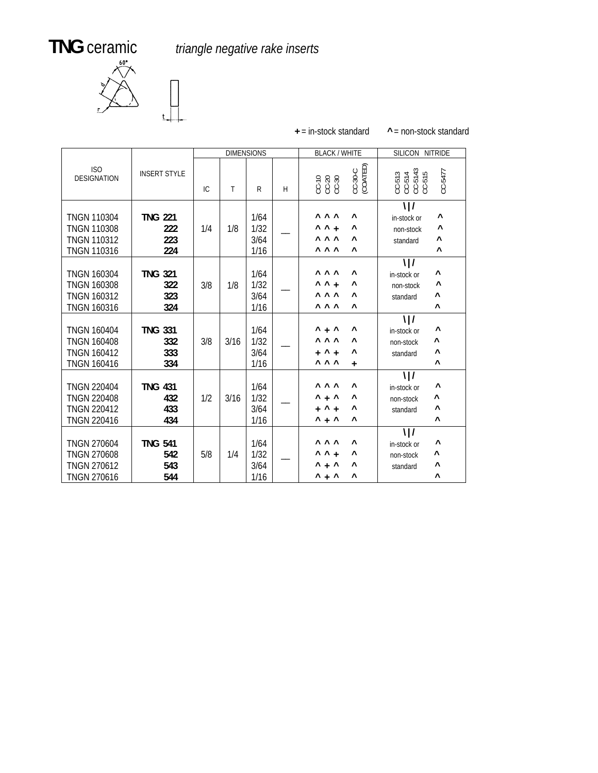**TNG** ceramic *triangle negative rake inserts*



|                                                                                      |                                     |     | <b>DIMENSIONS</b> |                              |   | <b>BLACK / WHITE</b>                                                                                             | SILICON NITRIDE                                                                                 |
|--------------------------------------------------------------------------------------|-------------------------------------|-----|-------------------|------------------------------|---|------------------------------------------------------------------------------------------------------------------|-------------------------------------------------------------------------------------------------|
| ISO<br><b>DESIGNATION</b>                                                            | <b>INSERT STYLE</b>                 | IC  | T                 | R                            | Н | CC-30-C<br>(COATED)<br>00<br>00030<br>00030                                                                      | $\begin{array}{c} \tt CC-513 \\ \tt CC-514 \\ \tt CC-5143 \\ \tt CC-515 \end{array}$<br>CC-5477 |
| <b>TNGN 110304</b><br><b>TNGN 110308</b><br><b>TNGN 110312</b><br><b>TNGN 110316</b> | <b>TNG 221</b><br>222<br>223<br>224 | 1/4 | 1/8               | 1/64<br>1/32<br>3/64<br>1/16 |   | <b>AAA</b><br>Λ<br>$\wedge$ $\wedge$ +<br>۸<br><b>AAA</b><br>$\lambda$<br><b>AAA</b><br>$\boldsymbol{\wedge}$    | $\frac{1}{2}$<br>٨<br>in-stock or<br>Λ<br>non-stock<br>۸<br>standard<br>Λ                       |
| <b>TNGN 160304</b><br><b>TNGN 160308</b><br><b>TNGN 160312</b><br><b>TNGN 160316</b> | <b>TNG 321</b><br>322<br>323<br>324 | 3/8 | 1/8               | 1/64<br>1/32<br>3/64<br>1/16 |   | <b>AAA</b><br>$\wedge$<br>$\wedge$ $\wedge$ +<br>۸<br>$\wedge \wedge \wedge$<br>Λ<br><b>AAA</b><br>$\wedge$      | $\frac{1}{2}$<br>۸<br>in-stock or<br>٨<br>non-stock<br>Λ<br>standard<br>۸                       |
| <b>TNGN 160404</b><br><b>TNGN 160408</b><br><b>TNGN 160412</b><br><b>TNGN 160416</b> | <b>TNG 331</b><br>332<br>333<br>334 | 3/8 | 3/16              | 1/64<br>1/32<br>3/64<br>1/16 |   | $^{\wedge}$ + $^{\wedge}$<br>۸<br>$\wedge \wedge \wedge$<br>$\lambda$<br>$+$ ^ +<br>۸<br><b>AAA</b><br>$\ddot{}$ | $\frac{1}{2}$<br>٨<br>in-stock or<br>Λ<br>non-stock<br>Λ<br>standard<br>۸                       |
| <b>TNGN 220404</b><br><b>TNGN 220408</b><br><b>TNGN 220412</b><br><b>TNGN 220416</b> | <b>TNG 431</b><br>432<br>433<br>434 | 1/2 | 3/16              | 1/64<br>1/32<br>3/64<br>1/16 |   | <b>AAA</b><br>$\lambda$<br>$^{\wedge}$ + $^{\wedge}$<br>۸<br>$+$ ^ +<br>۸<br>$^{\wedge}$ + $^{\wedge}$<br>۸      | $\frac{1}{2}$<br>Λ<br>in-stock or<br>۸<br>non-stock<br>٨<br>standard<br>Λ                       |
| <b>TNGN 270604</b><br><b>TNGN 270608</b><br><b>TNGN 270612</b><br><b>TNGN 270616</b> | <b>TNG 541</b><br>542<br>543<br>544 | 5/8 | 1/4               | 1/64<br>1/32<br>3/64<br>1/16 |   | <b>AAA</b><br>$\lambda$<br>$\wedge$ $\wedge$ +<br>٨<br>$+$ ^<br>٨<br>۸<br>$^{\wedge}$ + $^{\wedge}$<br>٨         | $\frac{1}{2}$<br>۸<br>in-stock or<br>Λ<br>non-stock<br>۸<br>standard<br>Λ                       |

**<sup>+</sup>** = in-stock standard **^** = non-stock standard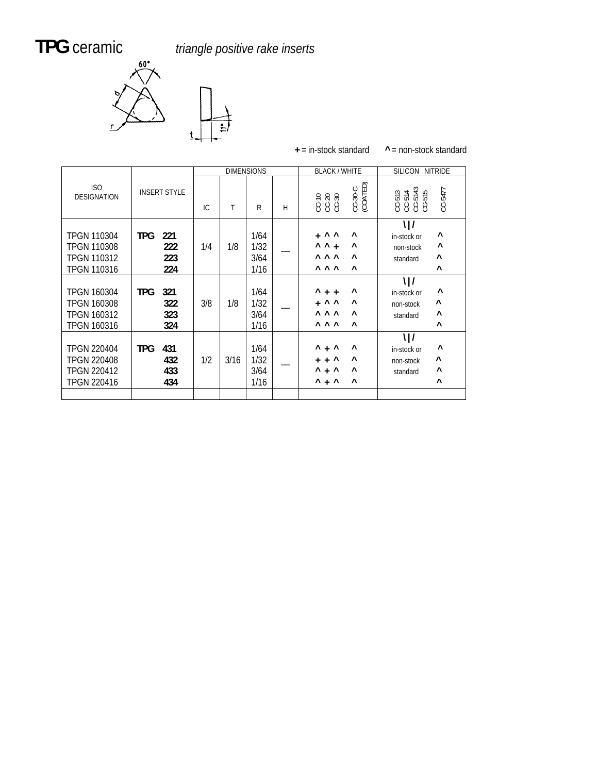# TPG ceramic

**PG** ceramic *triangle positive rake inserts*



| $+$ = in-stock standard | $^{\circ}$ = non-stock standard |
|-------------------------|---------------------------------|
|                         |                                 |

|                                                                        |                                        |     |      | <b>DIMENSIONS</b>            |   | <b>BLACK / WHITE</b>                                                                                                                                       | SILICON NITRIDE                                                                               |
|------------------------------------------------------------------------|----------------------------------------|-----|------|------------------------------|---|------------------------------------------------------------------------------------------------------------------------------------------------------------|-----------------------------------------------------------------------------------------------|
| ISO<br><b>DESIGNATION</b>                                              | <b>INSERT STYLE</b>                    | IC. | Τ    | R                            | H | CC-30-C<br>(COATED)                                                                                                                                        | $CC-513$<br>$CC-514$<br>$CC-5143$<br>$CC-515$<br>CC-5477                                      |
| <b>TPGN 110304</b><br>TPGN 110308<br>TPGN 110312<br>TPGN 110316        | <b>TPG</b><br>221<br>222<br>223<br>224 | 1/4 | 1/8  | 1/64<br>1/32<br>3/64<br>1/16 |   | $+$ ^ ^<br>Λ<br>$\wedge$ $\wedge$ +<br>۸<br><b>AAA</b><br>$\wedge$<br><b>AAA</b><br>$\wedge$                                                               | $\frac{1}{2}$<br>۸<br>in-stock or<br>٨<br>non-stock<br>۸<br>standard<br>$\wedge$              |
| <b>TPGN 160304</b><br>TPGN 160308<br><b>TPGN 160312</b><br>TPGN 160316 | <b>TPG</b><br>321<br>322<br>323<br>324 | 3/8 | 1/8  | 1/64<br>1/32<br>3/64<br>1/16 |   | $^{\wedge}$ + +<br>۸<br>$+$ ^ ^<br>Λ<br><b>AAA</b><br>$\wedge$<br><b>AAA</b><br>$\wedge$                                                                   | $\frac{1}{2}$<br>۸<br>in-stock or<br>٨<br>non-stock<br>۸<br>standard<br>Λ                     |
| <b>TPGN 220404</b><br><b>TPGN 220408</b><br>TPGN 220412<br>TPGN 220416 | <b>TPG</b><br>431<br>432<br>433<br>434 | 1/2 | 3/16 | 1/64<br>1/32<br>3/64<br>1/16 |   | $^{\wedge}$ + $^{\wedge}$<br>۸<br>$+ +$ ^<br>Λ<br>$^{\wedge}$ + $^{\wedge}$<br>$\boldsymbol{\wedge}$<br>$^{\wedge}$ + $^{\wedge}$<br>$\boldsymbol{\wedge}$ | $\frac{1}{2}$<br>۸<br>in-stock or<br>٨<br>non-stock<br>۸<br>standard<br>$\boldsymbol{\wedge}$ |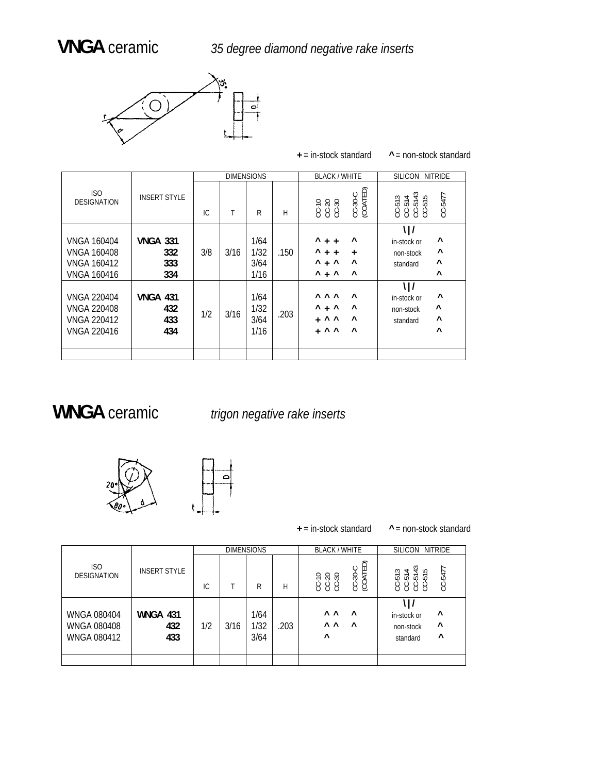

**<sup>+</sup>** = in-stock standard **^** <sup>=</sup> non-stock standard

|                                                                                      |                                      |     |      | <b>DIMENSIONS</b>            |      | <b>BLACK / WHITE</b>                                                                                                            | <b>SILICON</b><br><b>NITRIDE</b>                                                          |
|--------------------------------------------------------------------------------------|--------------------------------------|-----|------|------------------------------|------|---------------------------------------------------------------------------------------------------------------------------------|-------------------------------------------------------------------------------------------|
| ISO<br><b>DESIGNATION</b>                                                            | <b>INSERT STYLE</b>                  | IC  | Τ    | R                            | H    | CC-30-C<br>(COATED)<br>CC-10<br>CC-30<br>CC-30                                                                                  | $\frac{3}{4}$ is<br>CC-5477<br>$\overline{ }$<br>ត្តត្តត្ត<br>ប៉ូប៉ូប៉ូប៉ូ                |
| <b>VNGA 160404</b><br><b>VNGA 160408</b><br><b>VNGA 160412</b><br><b>VNGA 160416</b> | <b>VNGA 331</b><br>332<br>333<br>334 | 3/8 | 3/16 | 1/64<br>1/32<br>3/64<br>1/16 | .150 | ۸<br>Λ<br>$+$ +<br>Λ<br>$+ +$<br>$\ddot{}$<br>۸<br>$+$ ^<br>Λ<br>$^{\wedge}$ + $^{\wedge}$<br>$\boldsymbol{\wedge}$             | ĦΙ<br>Λ<br>in-stock or<br>Λ<br>non-stock<br>$\boldsymbol{\wedge}$<br>standard<br>$\wedge$ |
| <b>VNGA 220404</b><br><b>VNGA 220408</b><br><b>VNGA 220412</b><br><b>VNGA 220416</b> | <b>VNGA 431</b><br>432<br>433<br>434 | 1/2 | 3/16 | 1/64<br>1/32<br>3/64<br>1/16 | .203 | <b>AAA</b><br>$\wedge$<br>۸<br>$+$ ^<br>Λ<br>$\wedge$<br>$\wedge$ $\wedge$<br>$\ddot{}$<br>$\wedge$<br>$\wedge$ $\wedge$<br>$+$ | \ /<br>Λ<br>in-stock or<br>۸<br>non-stock<br>$\wedge$<br>standard<br>$\wedge$             |
|                                                                                      |                                      |     |      |                              |      |                                                                                                                                 |                                                                                           |

## WNGA ceramic *trigon negative rake inserts*





+ = in-stock standard

 $^{\wedge}$  = non-stock standard

|                                                                |                               |     |      | <b>DIMENSIONS</b>    |      | <b>BLACK / WHITE</b>                                                         | <b>NITRIDE</b><br><b>SILICON</b>                                                               |
|----------------------------------------------------------------|-------------------------------|-----|------|----------------------|------|------------------------------------------------------------------------------|------------------------------------------------------------------------------------------------|
| <b>ISO</b><br><b>DESIGNATION</b>                               | <b>INSERT STYLE</b>           | IC. |      | R                    | H    | ED)<br>$-30-C$<br><b>COAT</b><br>0.58<br>Ë<br>$\circ\circ\circ$              | $\frac{3}{4}$ is<br>CC-5477<br>$\overline{ }$<br>$\infty$<br>ភូភូភូភូ<br>000<br><b>○ ○ ○ ○</b> |
| <b>WNGA 080404</b><br><b>WNGA 080408</b><br><b>WNGA 080412</b> | <b>WNGA 431</b><br>432<br>433 | 1/2 | 3/16 | 1/64<br>1/32<br>3/64 | .203 | $\wedge$ $\wedge$<br>$\lambda$<br>$\wedge$ $\wedge$<br>$\lambda$<br>$\wedge$ | Λ<br>in-stock or<br>$\boldsymbol{\wedge}$<br>non-stock<br>Λ<br>standard                        |
|                                                                |                               |     |      |                      |      |                                                                              |                                                                                                |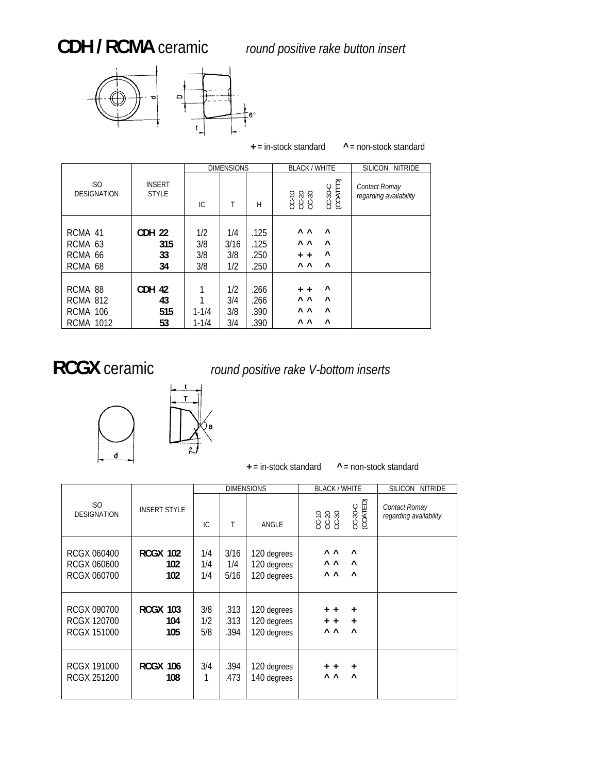



**<sup>+</sup>** = in-stock standard **^** = non-stock standard

|                                                                   |                               |                          | <b>DIMENSIONS</b>         |                              | <b>BLACK / WHITE</b>                                                                                   | <b>SILICON</b><br><b>NITRIDE</b>        |
|-------------------------------------------------------------------|-------------------------------|--------------------------|---------------------------|------------------------------|--------------------------------------------------------------------------------------------------------|-----------------------------------------|
| ISO.<br><b>DESIGNATION</b>                                        | <b>INSERT</b><br><b>STYLE</b> | IC.                      |                           | H                            | CC-30-C<br>(COATED)<br>58.5<br>છે છે છે                                                                | Contact Romay<br>regarding availability |
| RCMA 41<br>RCMA 63<br>RCMA 66<br>RCMA 68                          | CDH 22<br>315<br>33<br>34     | 1/2<br>3/8<br>3/8<br>3/8 | 1/4<br>3/16<br>3/8<br>1/2 | .125<br>.125<br>.250<br>.250 | <b>A</b> A<br>$\wedge$<br>$\wedge$ $\wedge$<br>$\wedge$<br>۸<br>$+$ +<br>$\wedge$ $\wedge$<br>$\wedge$ |                                         |
| RCMA 88<br><b>RCMA 812</b><br><b>RCMA 106</b><br><b>RCMA 1012</b> | CDH 42<br>43<br>515<br>53     | $1 - 1/4$<br>$1 - 1/4$   | 1/2<br>3/4<br>3/8<br>3/4  | .266<br>.266<br>.390<br>.390 | ۸<br>$+$ +<br>Λ Λ<br>$\wedge$<br>$\wedge$ $\wedge$<br>$\wedge$<br>$\wedge$ $\wedge$<br>$\wedge$        |                                         |

## **RCGX** ceramic *round positive rake V-bottom inserts*



**+** = in-stock standard **^** = non-stock standard

|                                                         |                                          |                   |                         | <b>DIMENSIONS</b>                         | <b>BLACK / WHITE</b>                                        |                                  | SILICON NITRIDE |
|---------------------------------------------------------|------------------------------------------|-------------------|-------------------------|-------------------------------------------|-------------------------------------------------------------|----------------------------------|-----------------|
| ISO.<br><b>DESIGNATION</b>                              | <b>INSERT STYLE</b><br>IC.<br>T<br>ANGLE |                   | CC-10<br>CC-20<br>CC-30 | CC-30-C<br>(COATED)                       | Contact Romay<br>regarding availability                     |                                  |                 |
| RCGX 060400<br>RCGX 060600<br>RCGX 060700               | <b>RCGX 102</b><br>102<br>102            | 1/4<br>1/4<br>1/4 | 3/16<br>1/4<br>5/16     | 120 degrees<br>120 degrees<br>120 degrees | $\wedge$ $\wedge$<br>$\wedge$ $\wedge$<br>$\wedge$ $\wedge$ | $\wedge$<br>$\wedge$<br>$\wedge$ |                 |
| RCGX 090700<br><b>RCGX 120700</b><br><b>RCGX 151000</b> | <b>RCGX 103</b><br>104<br>105            | 3/8<br>1/2<br>5/8 | .313<br>.313<br>.394    | 120 degrees<br>120 degrees<br>120 degrees | $+$ $+$<br>$+$ +<br>$\wedge$ $\wedge$                       | $\ddot{}$<br>$+$<br>$\lambda$    |                 |
| <b>RCGX 191000</b><br><b>RCGX 251200</b>                | <b>RCGX 106</b><br>108                   | 3/4               | .394<br>.473            | 120 degrees<br>140 degrees                | $+ +$<br>$\wedge$ $\wedge$                                  | $\ddot{}$<br>$\lambda$           |                 |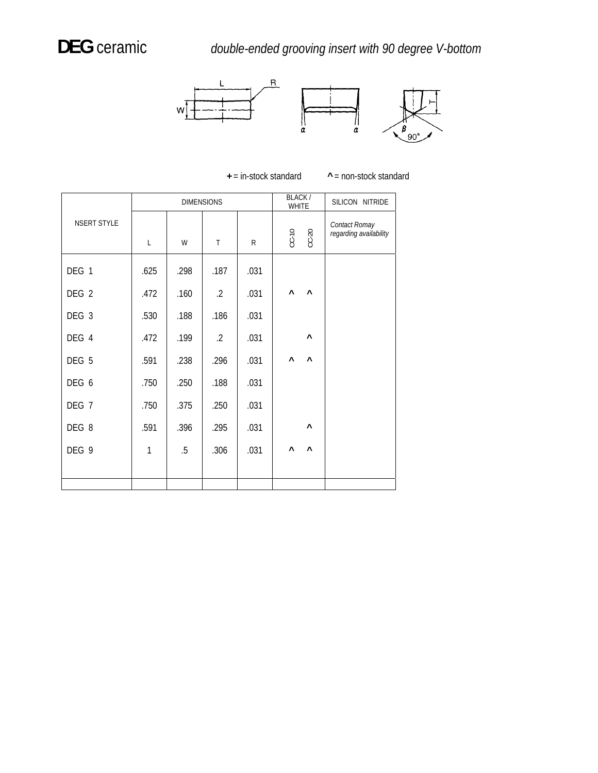



|                    |              |        | <b>DIMENSIONS</b> |      | <b>BLACK/</b><br><b>WHITE</b>                  | SILICON NITRIDE                         |
|--------------------|--------------|--------|-------------------|------|------------------------------------------------|-----------------------------------------|
| <b>NSERT STYLE</b> | $\mathsf{L}$ | W      | $\mathsf{T}$      | R    | $CC-20$<br>$CC-10$                             | Contact Romay<br>regarding availability |
| DEG 1              | .625         | .298   | .187              | .031 |                                                |                                         |
| DEG 2              | .472         | .160   | $\cdot$ .2        | .031 | $\boldsymbol{\wedge}$<br>$\boldsymbol{\wedge}$ |                                         |
| DEG 3              | .530         | .188   | .186              | .031 |                                                |                                         |
| DEG 4              | .472         | .199   | $\cdot$ 2         | .031 | $\boldsymbol{\wedge}$                          |                                         |
| DEG 5              | .591         | .238   | .296              | .031 | $\boldsymbol{\wedge}$<br>Λ                     |                                         |
| DEG 6              | .750         | .250   | .188              | .031 |                                                |                                         |
| DEG <sub>7</sub>   | .750         | .375   | .250              | .031 |                                                |                                         |
| DEG 8              | .591         | .396   | .295              | .031 | $\boldsymbol{\wedge}$                          |                                         |
| DEG 9              | $\mathbf{1}$ | $.5\,$ | .306              | .031 | $\boldsymbol{\wedge}$<br>$\boldsymbol{\wedge}$ |                                         |
|                    |              |        |                   |      |                                                |                                         |
|                    |              |        |                   |      |                                                |                                         |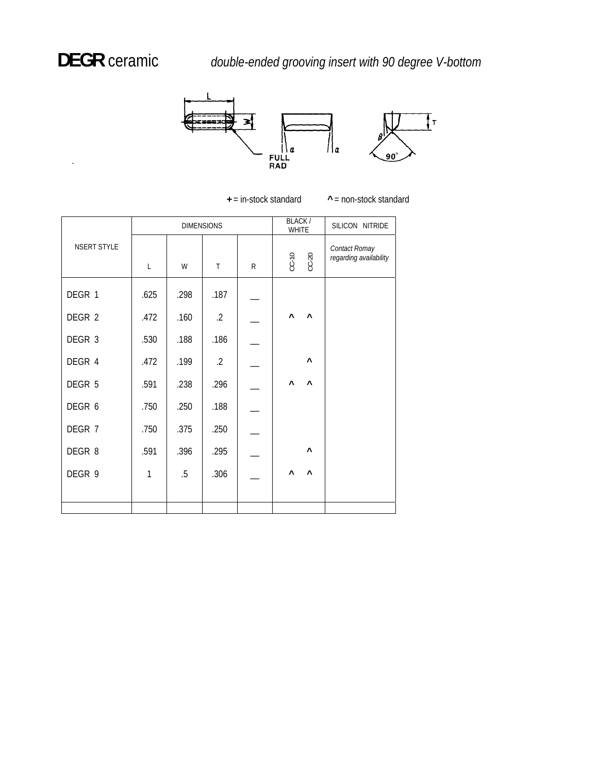k,

 **DEGR** ceramic *double-ended grooving insert with 90 degree V-bottom*



|                    |      |        | <b>DIMENSIONS</b> | BLACK/<br><b>WHITE</b> |                       | SILICON NITRIDE       |                                         |
|--------------------|------|--------|-------------------|------------------------|-----------------------|-----------------------|-----------------------------------------|
| <b>NSERT STYLE</b> | L    | W      | $\mathsf{T}$      | R                      | $CC-10$               | $CC-20$               | Contact Romay<br>regarding availability |
| DEGR 1             | .625 | .298   | .187              |                        |                       |                       |                                         |
| DEGR 2             | .472 | .160   | $.2\,$            |                        | Λ                     | $\boldsymbol{\wedge}$ |                                         |
| DEGR 3             | .530 | .188   | .186              |                        |                       |                       |                                         |
| DEGR 4             | .472 | .199   | $.2\,$            |                        |                       | $\boldsymbol{\wedge}$ |                                         |
| DEGR 5             | .591 | .238   | .296              |                        | $\boldsymbol{\wedge}$ | $\boldsymbol{\wedge}$ |                                         |
| DEGR 6             | .750 | .250   | .188              |                        |                       |                       |                                         |
| DEGR 7             | .750 | .375   | .250              |                        |                       |                       |                                         |
| DEGR 8             | .591 | .396   | .295              |                        |                       | $\boldsymbol{\wedge}$ |                                         |
| DEGR 9             | 1    | $.5\,$ | .306              |                        | Λ                     | $\boldsymbol{\wedge}$ |                                         |
|                    |      |        |                   |                        |                       |                       |                                         |

**+** = in-stock standard

**^** = non-stock standard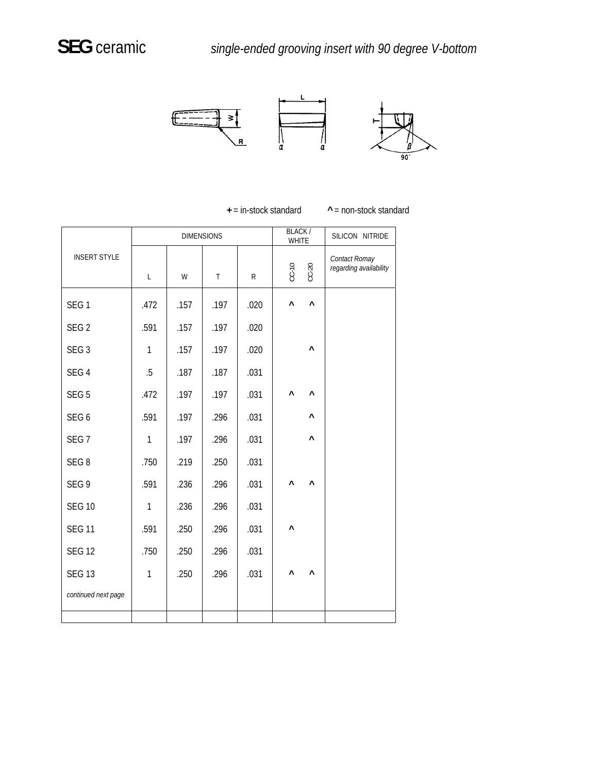

**+** = in-stock standard **^** = non-stock standard

|                     |              |      | <b>DIMENSIONS</b> |      | <b>BLACK/</b><br><b>WHITE</b> |                       | SILICON NITRIDE                         |  |
|---------------------|--------------|------|-------------------|------|-------------------------------|-----------------------|-----------------------------------------|--|
| <b>INSERT STYLE</b> | $\mathsf L$  | W    | $\mathsf T$       | R.   |                               | $CC-20$               | Contact Romay<br>regarding availability |  |
| SEG <sub>1</sub>    | .472         | .157 | .197              | .020 | $\boldsymbol{\wedge}$         | $\boldsymbol{\wedge}$ |                                         |  |
| SEG <sub>2</sub>    | .591         | .157 | .197              | .020 |                               |                       |                                         |  |
| SEG <sub>3</sub>    | $\mathbf{1}$ | .157 | .197              | .020 |                               | $\boldsymbol{\wedge}$ |                                         |  |
| SEG <sub>4</sub>    | $.5\,$       | .187 | .187              | .031 |                               |                       |                                         |  |
| SEG <sub>5</sub>    | .472         | .197 | .197              | .031 | $\boldsymbol{\wedge}$         | Λ                     |                                         |  |
| SEG <sub>6</sub>    | .591         | .197 | .296              | .031 |                               | Λ                     |                                         |  |
| SEG <sub>7</sub>    | $\mathbf{1}$ | .197 | .296              | .031 |                               | $\boldsymbol{\wedge}$ |                                         |  |
| SEG <sub>8</sub>    | .750         | .219 | .250              | .031 |                               |                       |                                         |  |
| SEG <sub>9</sub>    | .591         | .236 | .296              | .031 | $\boldsymbol{\wedge}$         | Λ                     |                                         |  |
| <b>SEG 10</b>       | $\mathbf{1}$ | .236 | .296              | .031 |                               |                       |                                         |  |
| <b>SEG 11</b>       | .591         | .250 | .296              | .031 | $\boldsymbol{\wedge}$         |                       |                                         |  |
| <b>SEG 12</b>       | .750         | .250 | .296              | .031 |                               |                       |                                         |  |
| <b>SEG 13</b>       | $\mathbf{1}$ | .250 | .296              | .031 | $\boldsymbol{\wedge}$         | Λ                     |                                         |  |
| continued next page |              |      |                   |      |                               |                       |                                         |  |
|                     |              |      |                   |      |                               |                       |                                         |  |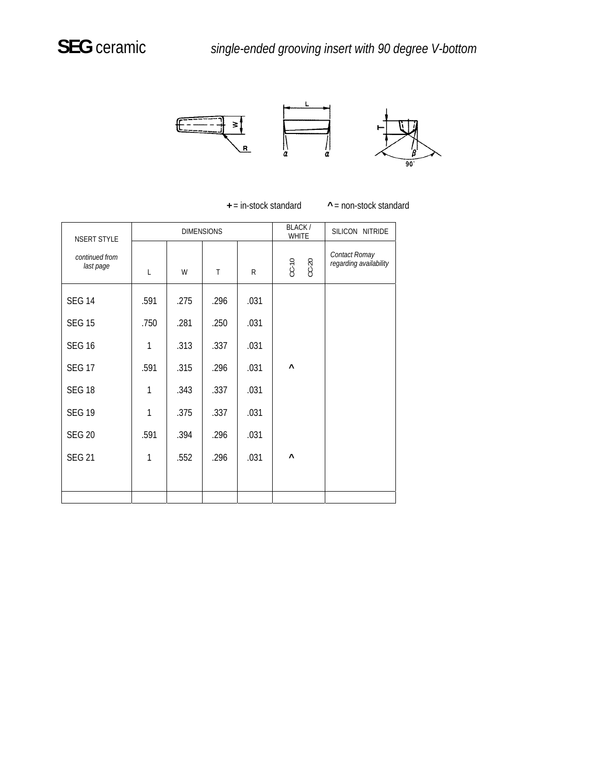

 $\wedge$  = non-stock standard

| NSERT STYLE                 |              |      | <b>DIMENSIONS</b> | BLACK/<br><b>WHITE</b> | SILICON NITRIDE       |                                         |
|-----------------------------|--------------|------|-------------------|------------------------|-----------------------|-----------------------------------------|
| continued from<br>last page | L            | W    | $\mathsf{T}$      | R                      | $CC-10$<br>$CC-20$    | Contact Romay<br>regarding availability |
| <b>SEG 14</b>               | .591         | .275 | .296              | .031                   |                       |                                         |
| <b>SEG 15</b>               | .750         | .281 | .250              | .031                   |                       |                                         |
| <b>SEG 16</b>               | $\mathbf{1}$ | .313 | .337              | .031                   |                       |                                         |
| <b>SEG 17</b>               | .591         | .315 | .296              | .031                   | $\boldsymbol{\wedge}$ |                                         |
| <b>SEG 18</b>               | 1            | .343 | .337              | .031                   |                       |                                         |
| <b>SEG 19</b>               | $\mathbf{1}$ | .375 | .337              | .031                   |                       |                                         |
| <b>SEG 20</b>               | .591         | .394 | .296              | .031                   |                       |                                         |
| <b>SEG 21</b>               | 1            | .552 | .296              | .031                   | $\boldsymbol{\wedge}$ |                                         |
|                             |              |      |                   |                        |                       |                                         |
|                             |              |      |                   |                        |                       |                                         |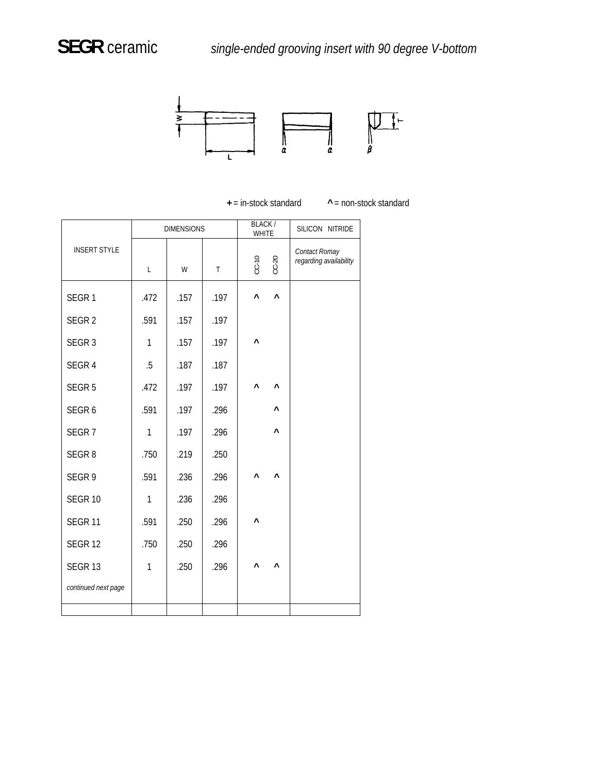

**^** = non-stock standard

|                     |              | <b>DIMENSIONS</b> |      | BLACK/<br><b>WHITE</b>     | SILICON NITRIDE                         |
|---------------------|--------------|-------------------|------|----------------------------|-----------------------------------------|
| <b>INSERT STYLE</b> | L            | W                 | T    | $CC-10$<br>$CC-20$         | Contact Romay<br>regarding availability |
| SEGR <sub>1</sub>   | .472         | .157              | .197 | Λ<br>$\boldsymbol{\wedge}$ |                                         |
| SEGR <sub>2</sub>   | .591         | .157              | .197 |                            |                                         |
| SEGR <sub>3</sub>   | $\mathbf{1}$ | .157              | .197 | ٨                          |                                         |
| SEGR 4              | .5           | .187              | .187 |                            |                                         |
| SEGR <sub>5</sub>   | .472         | .197              | .197 | Λ<br>$\boldsymbol{\wedge}$ |                                         |
| SEGR <sub>6</sub>   | .591         | .197              | .296 | Λ                          |                                         |
| SEGR <sub>7</sub>   | $\mathbf{1}$ | .197              | .296 | ٨                          |                                         |
| SEGR <sub>8</sub>   | .750         | .219              | .250 |                            |                                         |
| SEGR 9              | .591         | .236              | .296 | ٨<br>$\lambda$             |                                         |
| <b>SEGR 10</b>      | $\mathbf{1}$ | .236              | .296 |                            |                                         |
| SEGR <sub>11</sub>  | .591         | .250              | .296 | ٨                          |                                         |
| <b>SEGR 12</b>      | .750         | .250              | .296 |                            |                                         |
| SEGR <sub>13</sub>  | $\mathbf{1}$ | .250              | .296 | $\boldsymbol{\wedge}$<br>٨ |                                         |
| continued next page |              |                   |      |                            |                                         |
|                     |              |                   |      |                            |                                         |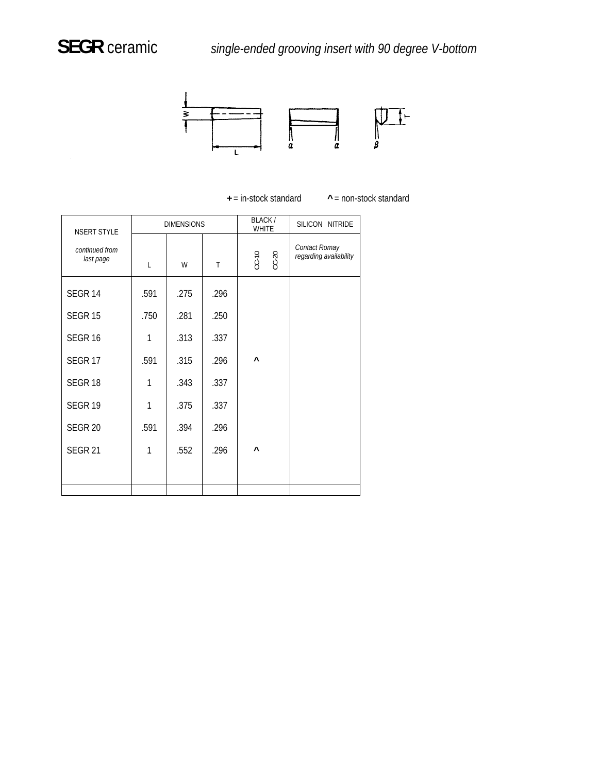

 $^{\wedge}$  = non-stock standard

| NSERT STYLE                 |      | <b>DIMENSIONS</b> |      | BLACK/<br><b>WHITE</b> | SILICON NITRIDE                         |
|-----------------------------|------|-------------------|------|------------------------|-----------------------------------------|
| continued from<br>last page | L    | W                 | T    | $CC-20$<br>$CC-10$     | Contact Romay<br>regarding availability |
| SEGR <sub>14</sub>          | .591 | .275              | .296 |                        |                                         |
| <b>SEGR 15</b>              | .750 | .281              | .250 |                        |                                         |
| SEGR <sub>16</sub>          | 1    | .313              | .337 |                        |                                         |
| SEGR <sub>17</sub>          | .591 | .315              | .296 | Λ                      |                                         |
| SEGR <sub>18</sub>          | 1    | .343              | .337 |                        |                                         |
| SEGR <sub>19</sub>          | 1    | .375              | .337 |                        |                                         |
| <b>SEGR 20</b>              | .591 | .394              | .296 |                        |                                         |
| <b>SEGR 21</b>              | 1    | .552              | .296 | Λ                      |                                         |
|                             |      |                   |      |                        |                                         |
|                             |      |                   |      |                        |                                         |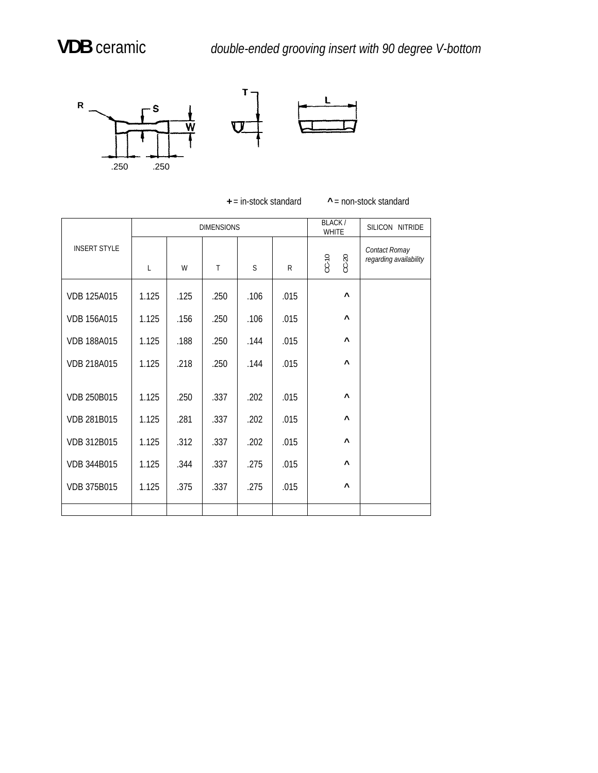

 $^{\wedge}$  = non-stock standard

|                     |       |      | <b>DIMENSIONS</b> |              |              | BLACK/<br><b>WHITE</b> | SILICON NITRIDE                         |
|---------------------|-------|------|-------------------|--------------|--------------|------------------------|-----------------------------------------|
| <b>INSERT STYLE</b> | L     | W    | $\mathsf{T}$      | <sub>S</sub> | $\mathsf{R}$ | $CC-20$<br>$CC-10$     | Contact Romay<br>regarding availability |
| <b>VDB 125A015</b>  | 1.125 | .125 | .250              | .106         | .015         | $\boldsymbol{\wedge}$  |                                         |
| <b>VDB 156A015</b>  | 1.125 | .156 | .250              | .106         | .015         | Λ                      |                                         |
| <b>VDB 188A015</b>  | 1.125 | .188 | .250              | .144         | .015         | Λ                      |                                         |
| <b>VDB 218A015</b>  | 1.125 | .218 | .250              | .144         | .015         | Λ                      |                                         |
| <b>VDB 250B015</b>  | 1.125 | .250 | .337              | .202         | .015         | Λ                      |                                         |
| VDB 281B015         | 1.125 | .281 | .337              | .202         | .015         | Λ                      |                                         |
| VDB 312B015         | 1.125 | .312 | .337              | .202         | .015         | Λ                      |                                         |
| VDB 344B015         | 1.125 | .344 | .337              | .275         | .015         | Λ                      |                                         |
| VDB 375B015         | 1.125 | .375 | .337              | .275         | .015         | $\boldsymbol{\wedge}$  |                                         |
|                     |       |      |                   |              |              |                        |                                         |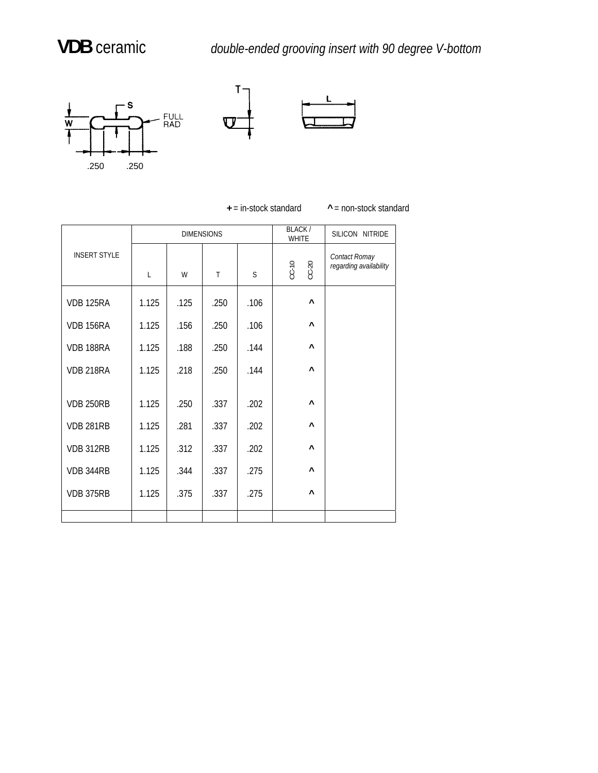## **VDB** ceramic

**V** *double-ended grooving insert with 90 degree V-bottom*





**+** = in-stock standard **^** = non-stock standard

|                     |       |      | <b>DIMENSIONS</b>            |      | BLACK/<br><b>WHITE</b> | SILICON NITRIDE                         |
|---------------------|-------|------|------------------------------|------|------------------------|-----------------------------------------|
| <b>INSERT STYLE</b> | L     | W    | $CC-10$<br>$CC-20$<br>S<br>T |      |                        | Contact Romay<br>regarding availability |
| <b>VDB 125RA</b>    | 1.125 | .125 | .250                         | .106 | $\boldsymbol{\wedge}$  |                                         |
| <b>VDB 156RA</b>    | 1.125 | .156 | .250                         | .106 | $\lambda$              |                                         |
| VDB 188RA           | 1.125 | .188 | .250                         | .144 | Λ                      |                                         |
| VDB 218RA           | 1.125 | .218 | .250                         | .144 | Λ                      |                                         |
| <b>VDB 250RB</b>    | 1.125 | .250 | .337                         | .202 | Λ                      |                                         |
| <b>VDB 281RB</b>    | 1.125 | .281 | .337                         | .202 | Λ                      |                                         |
| VDB 312RB           | 1.125 | .312 | .337                         | .202 | Λ                      |                                         |
| VDB 344RB           | 1.125 | .344 | .337                         | .275 | Λ                      |                                         |
| VDB 375RB           | 1.125 | .375 | .337                         | .275 | Λ                      |                                         |
|                     |       |      |                              |      |                        |                                         |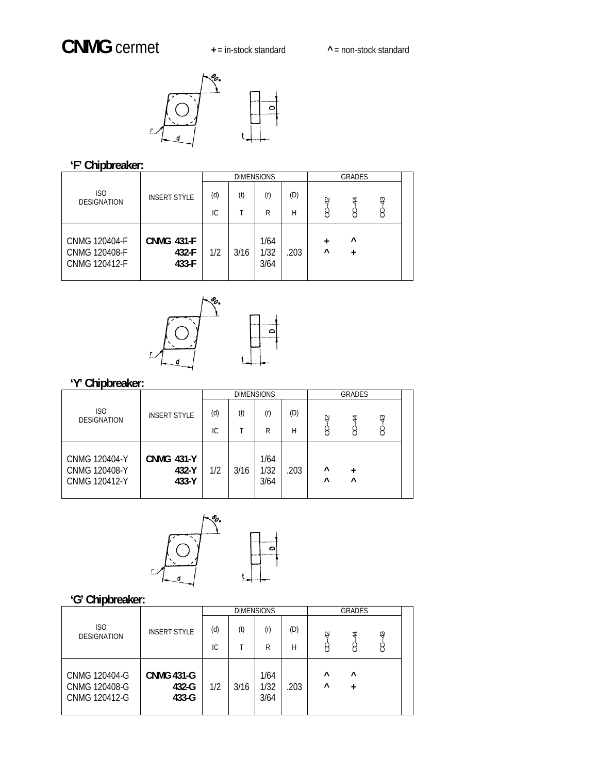## **CNMG** cermet **in-stock standard**



### **'F' Chipbreaker:**

|                                                                      |                                     |            | <b>DIMENSIONS</b> |                      | <b>GRADES</b> |                |                |        |  |
|----------------------------------------------------------------------|-------------------------------------|------------|-------------------|----------------------|---------------|----------------|----------------|--------|--|
| ISO<br><b>DESIGNATION</b>                                            | <b>INSERT STYLE</b>                 | (d)<br>IC. | (t)               | (r)<br>R             | (D)<br>Н      | ₽<br>g         | 4<br>႘         | ₩<br>Ÿ |  |
| <b>CNMG 120404-F</b><br><b>CNMG 120408-F</b><br><b>CNMG 120412-F</b> | <b>CNMG 431-F</b><br>432-F<br>433-F | 1/2        | 3/16              | 1/64<br>1/32<br>3/64 | .203          | $\ddot{}$<br>٨ | $\lambda$<br>+ |        |  |



# **r: 'Y' Chipbreake**

|                                                                      |                                     |     |      | <b>DIMENSIONS</b>    |      | GRADES               |          |         |  |
|----------------------------------------------------------------------|-------------------------------------|-----|------|----------------------|------|----------------------|----------|---------|--|
| ISO<br><b>DESIGNATION</b>                                            | <b>INSERT STYLE</b>                 | (d) | (t)  | (r)                  | (D)  | $\overline{4}$       | 4        |         |  |
|                                                                      |                                     | IС  |      | R                    | Н    | Š                    | S        | $CC-43$ |  |
| <b>CNMG 120404-Y</b><br><b>CNMG 120408-Y</b><br><b>CNMG 120412-Y</b> | <b>CNMG 431-Y</b><br>432-Y<br>433-Y | 1/2 | 3/16 | 1/64<br>1/32<br>3/64 | .203 | $\wedge$<br>$\wedge$ | $\wedge$ |         |  |



|                                                 |                                     |     |      | <b>DIMENSIONS</b>    |      | <b>GRADES</b>        |           |            |  |
|-------------------------------------------------|-------------------------------------|-----|------|----------------------|------|----------------------|-----------|------------|--|
| ISO<br><b>DESIGNATION</b>                       | <b>INSERT STYLE</b>                 | (d) | (t)  | (r)                  | (D)  | $\overline{4}$       | 4         | $\ddot{ }$ |  |
|                                                 |                                     | IC. |      | R                    | Н    | ن                    | ပ္ပ       | Š          |  |
| CNMG 120404-G<br>CNMG 120408-G<br>CNMG 120412-G | <b>CNMG 431-G</b><br>432-G<br>433-G | 1/2 | 3/16 | 1/64<br>1/32<br>3/64 | .203 | $\wedge$<br>$\wedge$ | $\lambda$ |            |  |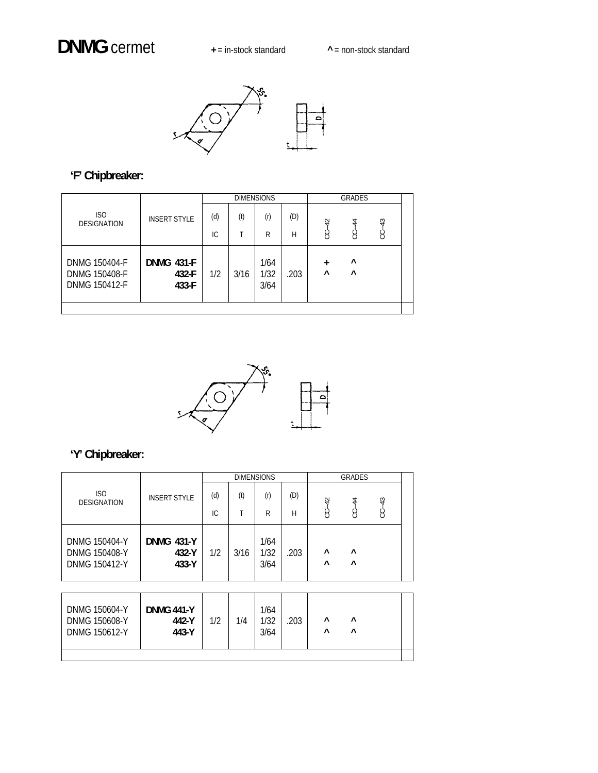

## **'F' Chipbreaker:**

|                                                 |                                     |     |      | <b>DIMENSIONS</b>    |      |                | <b>GRADES</b>        |          |  |
|-------------------------------------------------|-------------------------------------|-----|------|----------------------|------|----------------|----------------------|----------|--|
| ISO<br><b>DESIGNATION</b>                       | <b>INSERT STYLE</b>                 | (d) | (t)  | (r)                  | (D)  | $\overline{r}$ | 4                    |          |  |
|                                                 |                                     | IC. | T    | R                    | Н    | ġ              | S                    | $C - 43$ |  |
| DNMG 150404-F<br>DNMG 150408-F<br>DNMG 150412-F | <b>DNMG 431-F</b><br>432-F<br>433-F | 1/2 | 3/16 | 1/64<br>1/32<br>3/64 | .203 | +<br>$\wedge$  | $\wedge$<br>$\wedge$ |          |  |
|                                                 |                                     |     |      |                      |      |                |                      |          |  |



|                                                 |                                     |     |      | <b>DIMENSIONS</b>    |      |                      | GRADES               |    |  |
|-------------------------------------------------|-------------------------------------|-----|------|----------------------|------|----------------------|----------------------|----|--|
| <b>ISO</b><br><b>DESIGNATION</b>                | <b>INSERT STYLE</b>                 | (d) | (t)  | (r)                  | (D)  | $\overline{4}$       | $\ddot{4}$           | 43 |  |
|                                                 |                                     | IC. |      | R                    | Н    | ن                    | Ë                    | ن  |  |
| DNMG 150404-Y<br>DNMG 150408-Y<br>DNMG 150412-Y | <b>DNMG 431-Y</b><br>432-Y<br>433-Y | 1/2 | 3/16 | 1/64<br>1/32<br>3/64 | .203 | $\wedge$<br>$\wedge$ | $\wedge$<br>$\wedge$ |    |  |

| DNMG 150604-Y<br>DNMG 150608-Y<br>DNMG 150612-Y | <b>DNMG 441-Y</b><br>442-Y<br>443-Y | 1/2 | 1/4 | 1/64<br>1/32<br>3/64 | .203 | $\lambda$<br>$\lambda$ | Λ<br>∧ |  |
|-------------------------------------------------|-------------------------------------|-----|-----|----------------------|------|------------------------|--------|--|
|                                                 |                                     |     |     |                      |      |                        |        |  |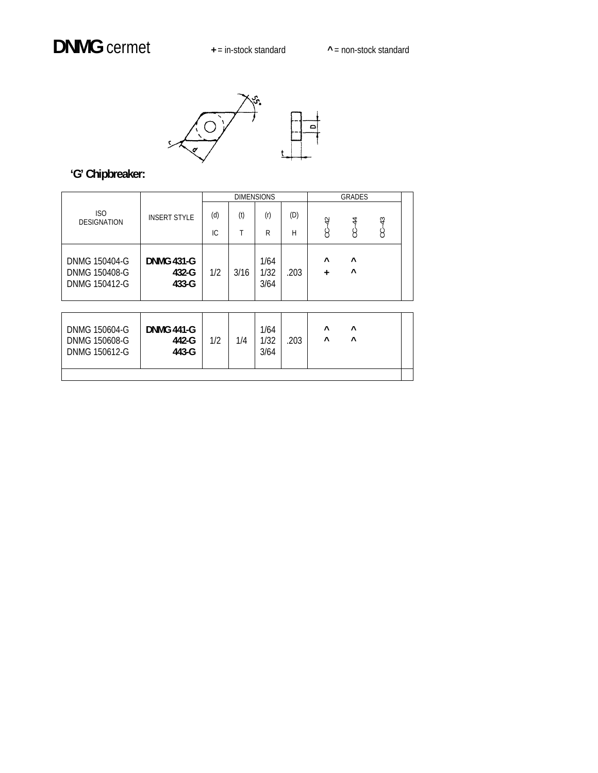

|                                                 |                                     |     |      | <b>DIMENSIONS</b>    |      |               | <b>GRADES</b>  |       |  |
|-------------------------------------------------|-------------------------------------|-----|------|----------------------|------|---------------|----------------|-------|--|
| ISO<br><b>DESIGNATION</b>                       | <b>INSERT STYLE</b>                 | (d) | (t)  | (r)                  | (D)  |               | $\overline{4}$ | $-43$ |  |
|                                                 |                                     | IC. |      | R                    | Н    | $CC - 42$     | Ÿ              | ġ     |  |
| DNMG 150404-G<br>DNMG 150408-G<br>DNMG 150412-G | <b>DNMG 431-G</b><br>432-G<br>433-G | 1/2 | 3/16 | 1/64<br>1/32<br>3/64 | .203 | $\wedge$<br>+ | $\lambda$<br>Λ |       |  |

| DNMG 150604-G<br>DNMG 150608-G<br>DNMG 150612-G | <b>DNMG 441-G</b><br>442-G<br>443-G | 1/2 | 1/4 | 1/64<br>1/32<br>3/64 | 203 | Λ<br>Λ | ∧<br>Λ |  |
|-------------------------------------------------|-------------------------------------|-----|-----|----------------------|-----|--------|--------|--|
|                                                 |                                     |     |     |                      |     |        |        |  |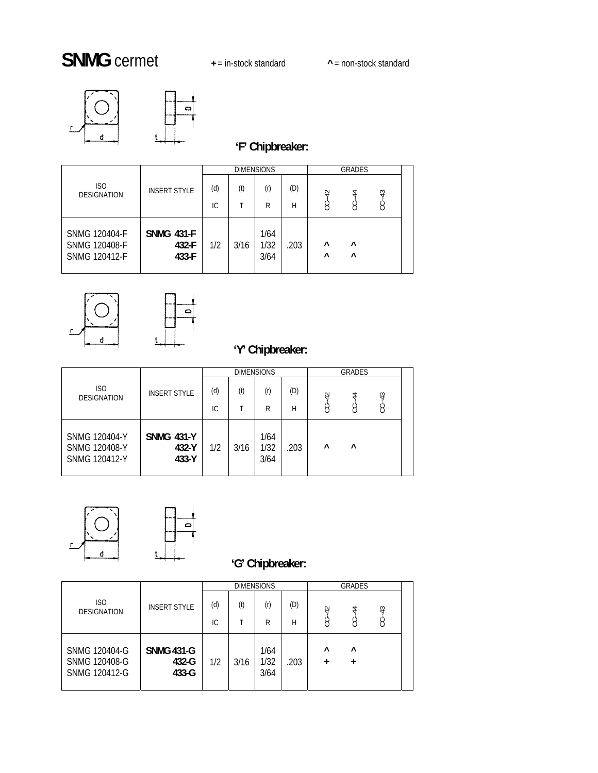# **SNMG** cermet **<sup>+</sup>** <sup>=</sup> in-stock standard **^** = non-stock standard





|                                                                      |                                     |     |      | <b>DIMENSIONS</b>    |      |                       | GRADES                 |    |  |
|----------------------------------------------------------------------|-------------------------------------|-----|------|----------------------|------|-----------------------|------------------------|----|--|
| IS <sub>O</sub><br><b>DESIGNATION</b>                                | <b>INSERT STYLE</b>                 | (d) | (t)  | (r)                  | (D)  | $\overline{4}$        | 4                      | 43 |  |
|                                                                      |                                     | IC. |      | R                    | Н    | Ġ                     | g                      | Ë  |  |
| <b>SNMG 120404-F</b><br><b>SNMG 120408-F</b><br><b>SNMG 120412-F</b> | <b>SNMG 431-F</b><br>432-F<br>433-F | 1/2 | 3/16 | 1/64<br>1/32<br>3/64 | .203 | $\wedge$<br>$\lambda$ | $\lambda$<br>$\lambda$ |    |  |





## **'Y' Chipbreaker:**

|                                                                      |                                     |     |      | <b>DIMENSIONS</b>    |      |          | <b>GRADES</b> |    |  |
|----------------------------------------------------------------------|-------------------------------------|-----|------|----------------------|------|----------|---------------|----|--|
| ISO<br><b>DESIGNATION</b>                                            | <b>INSERT STYLE</b>                 | (d) | (t)  | (r)                  | (D)  | 42       | 4             | 43 |  |
|                                                                      |                                     | IС  |      | R                    | Н    | Š        | ن             | S  |  |
| <b>SNMG 120404-Y</b><br><b>SNMG 120408-Y</b><br><b>SNMG 120412-Y</b> | <b>SNMG 431-Y</b><br>432-Y<br>433-Y | 1/2 | 3/16 | 1/64<br>1/32<br>3/64 | .203 | $\wedge$ | $\wedge$      |    |  |



|                                                                      |                                     |            |      | <b>DIMENSIONS</b>    |          |                     | <b>GRADES</b>         |            |  |
|----------------------------------------------------------------------|-------------------------------------|------------|------|----------------------|----------|---------------------|-----------------------|------------|--|
| ISO<br><b>DESIGNATION</b>                                            | <b>INSERT STYLE</b>                 | (d)<br>IC. | (t)  | (r)<br>R             | (D)<br>Н | $\overline{4}$<br>3 | 4<br>$\left( \right)$ | $-43$<br>Ë |  |
|                                                                      |                                     |            |      |                      |          |                     |                       |            |  |
| <b>SNMG 120404-G</b><br><b>SNMG 120408-G</b><br><b>SNMG 120412-G</b> | <b>SNMG 431-G</b><br>432-G<br>433-G | 1/2        | 3/16 | 1/64<br>1/32<br>3/64 | .203     | $\wedge$            | $\lambda$<br>+        |            |  |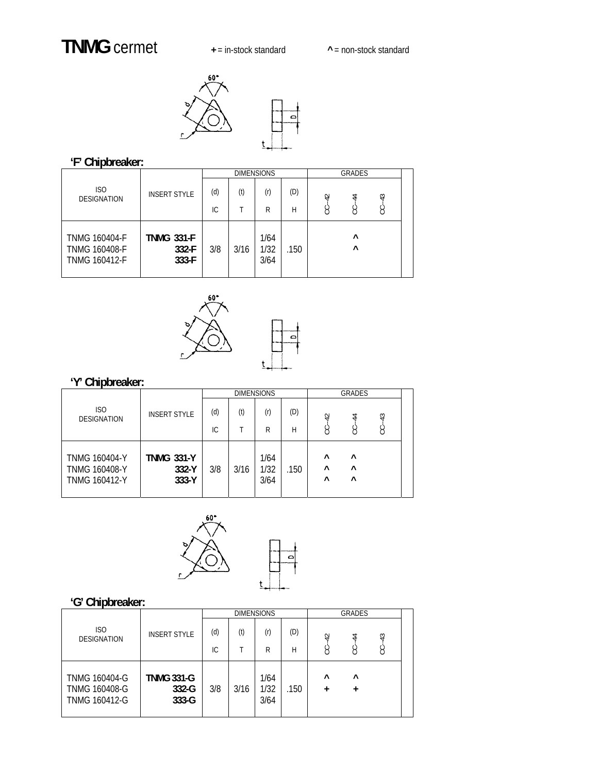## **TNMG** cermet **+** = in-stock standard **^** = non-stock standard



### **'F' Chipbreaker:**

|                                                                      |                                     |            |      | <b>DIMENSIONS</b>    |          |                | GRADES               |   |  |
|----------------------------------------------------------------------|-------------------------------------|------------|------|----------------------|----------|----------------|----------------------|---|--|
| ISO<br><b>DESIGNATION</b>                                            | <b>INSERT STYLE</b>                 | (d)<br>IC. | (t)  | (r)<br>R             | (D)<br>Н | $\overline{r}$ | 4                    | ₩ |  |
|                                                                      |                                     |            |      |                      |          | ġ              | ႘                    | Š |  |
| <b>TNMG 160404-F</b><br><b>TNMG 160408-F</b><br><b>TNMG 160412-F</b> | <b>TNMG 331-F</b><br>332-F<br>333-F | 3/8        | 3/16 | 1/64<br>1/32<br>3/64 | .150     |                | $\wedge$<br>$\wedge$ |   |  |



### **'Y' Chipbreaker:**

|                                                                      |                                     |     |      | <b>DIMENSIONS</b>    |      |                                  | <b>GRADES</b>                    |               |  |
|----------------------------------------------------------------------|-------------------------------------|-----|------|----------------------|------|----------------------------------|----------------------------------|---------------|--|
| ISO<br><b>DESIGNATION</b>                                            | <b>INSERT STYLE</b>                 | (d) | (t)  | (r)                  | (D)  | 42                               | 4                                | $\frac{3}{4}$ |  |
|                                                                      |                                     | IC. |      | R                    | Н    | 8                                | ႘                                | Ÿ             |  |
| <b>TNMG 160404-Y</b><br><b>TNMG 160408-Y</b><br><b>TNMG 160412-Y</b> | <b>TNMG 331-Y</b><br>332-Y<br>333-Y | 3/8 | 3/16 | 1/64<br>1/32<br>3/64 | .150 | $\wedge$<br>$\wedge$<br>$\wedge$ | $\wedge$<br>$\wedge$<br>$\wedge$ |               |  |



|                                                                      |                                         |            |      | <b>DIMENSIONS</b>    |          |                       | <b>GRADES</b> |            |  |
|----------------------------------------------------------------------|-----------------------------------------|------------|------|----------------------|----------|-----------------------|---------------|------------|--|
| ISO<br><b>DESIGNATION</b>                                            | <b>INSERT STYLE</b>                     | (d)<br>IC. | (t)  | (r)<br>R             | (D)<br>Н | $-42$<br>Š            | 4<br>Š        | $-43$<br>႘ |  |
| <b>TNMG 160404-G</b><br><b>TNMG 160408-G</b><br><b>TNMG 160412-G</b> | <b>TNMG 331-G</b><br>$332-G$<br>$333-G$ | 3/8        | 3/16 | 1/64<br>1/32<br>3/64 | .150     | $\wedge$<br>$\ddot{}$ | $\wedge$<br>+ |            |  |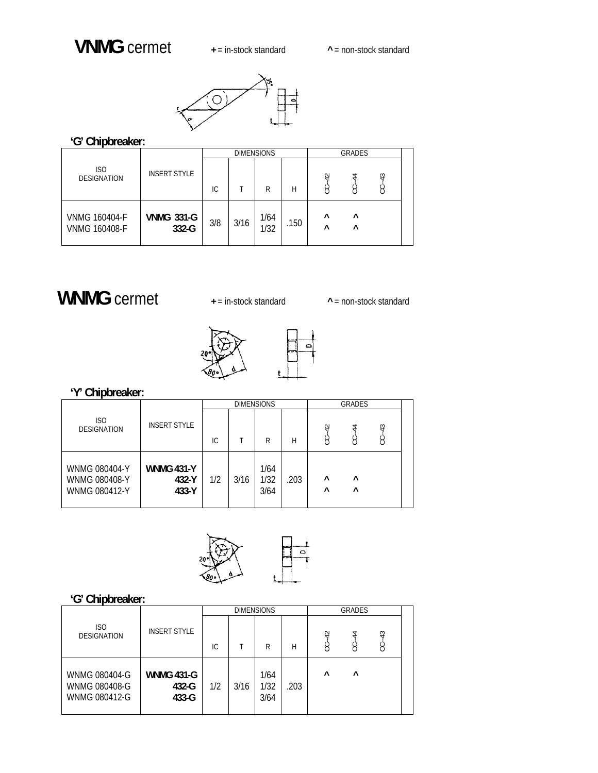

### **'G' Chipbreaker:**

|                                              |                            |     |      | <b>DIMENSIONS</b> |      |                       | GRADES               |                      |  |
|----------------------------------------------|----------------------------|-----|------|-------------------|------|-----------------------|----------------------|----------------------|--|
| IS <sub>O</sub><br><b>DESIGNATION</b>        | <b>INSERT STYLE</b>        | IС  |      | R                 | Н    | $\overline{4}$<br>ပ   | 4                    | $\frac{3}{4}$<br>ပ္ပ |  |
| <b>VNMG 160404-F</b><br><b>VNMG 160408-F</b> | <b>VNMG 331-G</b><br>332-G | 3/8 | 3/16 | 1/64<br>1/32      | .150 | $\wedge$<br>$\lambda$ | $\wedge$<br>$\wedge$ |                      |  |

## **WNMG** cermet **+** = in-stock standard **^** = non-stock standard



**'Y' Chipbreaker:** 

|                                                               |                                     |     |      | <b>DIMENSIONS</b>    |      | <b>GRADES</b>        |        |         |  |
|---------------------------------------------------------------|-------------------------------------|-----|------|----------------------|------|----------------------|--------|---------|--|
| ISO<br><b>DESIGNATION</b>                                     | <b>INSERT STYLE</b>                 | IC. |      | R                    | H    | $-42$<br>Ġ           | 4<br>S | 43<br>ن |  |
| <b>WNMG 080404-Y</b><br>WNMG 080408-Y<br><b>WNMG 080412-Y</b> | <b>WNMG 431-Y</b><br>432-Y<br>433-Y | 1/2 | 3/16 | 1/64<br>1/32<br>3/64 | .203 | $\wedge$<br>$\wedge$ | Λ<br>Λ |         |  |



|                                                 |                                     |     |      | <b>DIMENSIONS</b>    |      | <b>GRADES</b>         |           |                    |  |
|-------------------------------------------------|-------------------------------------|-----|------|----------------------|------|-----------------------|-----------|--------------------|--|
| <b>ISO</b><br><b>DESIGNATION</b>                | <b>INSERT STYLE</b>                 | IС  |      | R                    | Н    | $\overline{4}$<br>ပ္ပ | 4<br>S    | $\frac{3}{4}$<br>Ë |  |
| WNMG 080404-G<br>WNMG 080408-G<br>WNMG 080412-G | <b>WNMG 431-G</b><br>432-G<br>433-G | 1/2 | 3/16 | 1/64<br>1/32<br>3/64 | .203 | $\lambda$             | $\lambda$ |                    |  |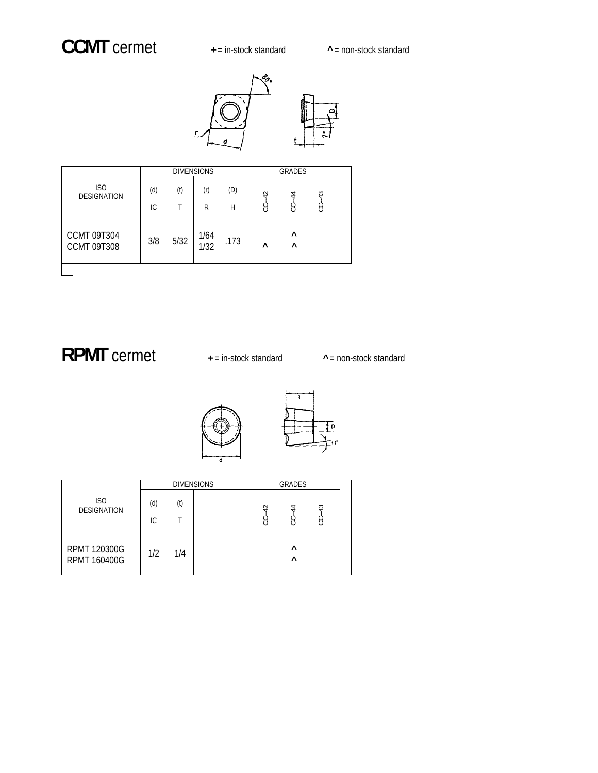

|                                          |     |      | <b>DIMENSIONS</b> |      |           | GRADES        |           |  |
|------------------------------------------|-----|------|-------------------|------|-----------|---------------|-----------|--|
| <b>ISO</b><br><b>DESIGNATION</b>         | (d) | (t)  | (r)               | (D)  | $-42$     | $-44$         |           |  |
|                                          | IС  | T    | R                 | Н    | ႘         | g             | $CC - 43$ |  |
| <b>CCMT 09T304</b><br><b>CCMT 09T308</b> | 3/8 | 5/32 | 1/64<br>1/32      | .173 | $\lambda$ | $\wedge$<br>Λ |           |  |
|                                          |     |      |                   |      |           |               |           |  |

## **RPMT** cermet **+** = in-stock standard  $\sim$  = non-stock standard



|                                     |           |     | <b>DIMENSIONS</b> | <b>GRADES</b> |                      |   |  |
|-------------------------------------|-----------|-----|-------------------|---------------|----------------------|---|--|
| ISO<br><b>DESIGNATION</b>           | (d)<br>IС | (t) |                   | ₽             | 2                    | ₩ |  |
| RPMT 120300G<br><b>RPMT 160400G</b> | 1/2       | 1/4 |                   |               | $\wedge$<br>$\wedge$ |   |  |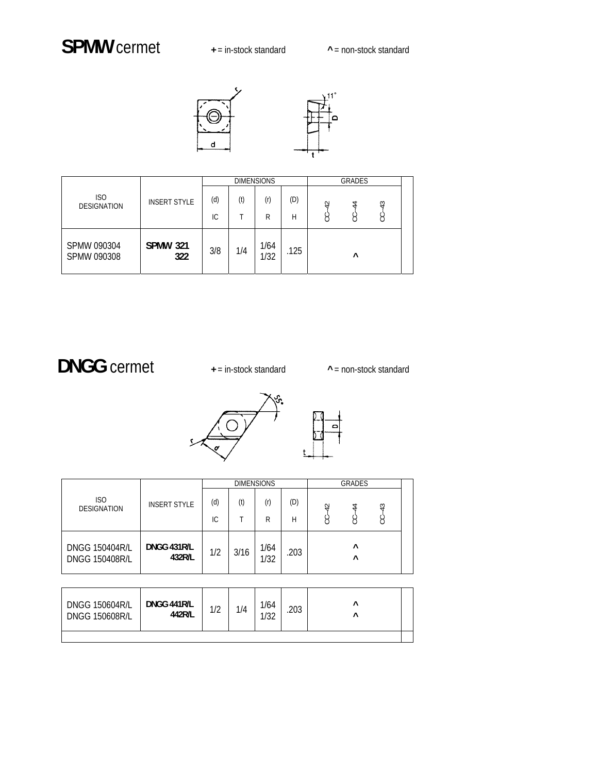



|                            |                        |     |     | <b>DIMENSIONS</b> |      | <b>GRADES</b> |           |            |  |
|----------------------------|------------------------|-----|-----|-------------------|------|---------------|-----------|------------|--|
| ISO<br><b>DESIGNATION</b>  | <b>INSERT STYLE</b>    | (d) | (t) | (r)               | (D)  | 42            | 4         | $\ddot{ }$ |  |
|                            |                        | IС  |     | R                 | Н    | 3             | $\bar{C}$ | Ë          |  |
| SPMW 090304<br>SPMW 090308 | <b>SPMW 321</b><br>322 | 3/8 | 1/4 | 1/64<br>1/32      | .125 |               | $\wedge$  |            |  |

# **DNGG** cermet **+** = in-stock standard **^** = non-stock standard



|                                                |                       |     |      | <b>DIMENSIONS</b> |      |   | <b>GRADES</b>         |            |  |
|------------------------------------------------|-----------------------|-----|------|-------------------|------|---|-----------------------|------------|--|
| IS <sub>O</sub><br><b>DESIGNATION</b>          | <b>INSERT STYLE</b>   | (d) | (t)  | (r)               | (D)  | ₽ | 4                     | $\ddot{ }$ |  |
|                                                |                       | IС  |      | R                 | Н    | g | g                     |            |  |
| <b>DNGG 150404R/L</b><br><b>DNGG 150408R/L</b> | DNGG 431R/L<br>432R/L | 1/2 | 3/16 | 1/64<br>1/32      | .203 |   | $\wedge$<br>$\lambda$ |            |  |

| <b>DNGG 150604R/L</b><br><b>DNGG 150608R/L</b> | DNGG 441R/L<br>442R/L | 11<br>11 Z | 1/4 | 1/64<br>1/22<br>ے ں ر | .203 | ∧<br>Λ |  |
|------------------------------------------------|-----------------------|------------|-----|-----------------------|------|--------|--|
|                                                |                       |            |     |                       |      |        |  |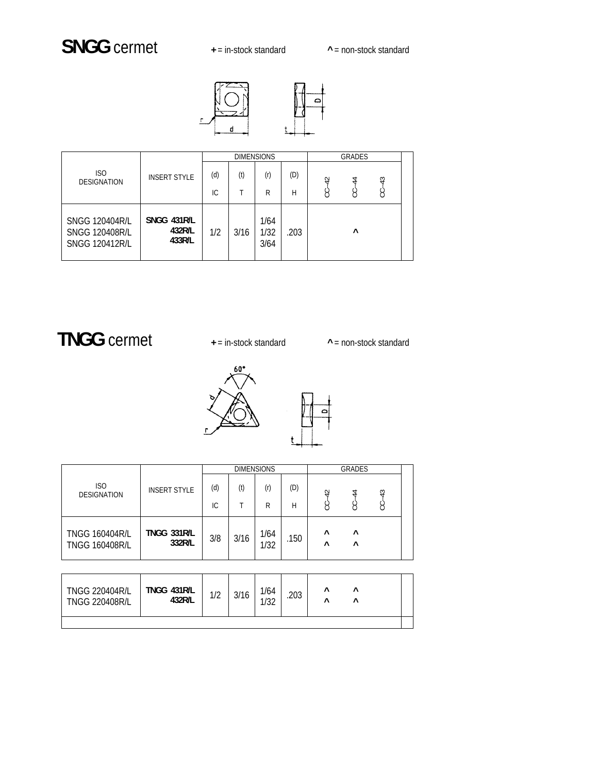## **SNGG** cermet **+** = in-stock standard **^** = non-stock standard



|                                                                         |                                 |     |      | <b>DIMENSIONS</b>    |      |   | <b>GRADES</b> |            |  |
|-------------------------------------------------------------------------|---------------------------------|-----|------|----------------------|------|---|---------------|------------|--|
| ISO<br><b>DESIGNATION</b>                                               | <b>INSERT STYLE</b>             | (d) | (t)  | (r)                  | (D)  | ₽ | 4             | $\ddot{ }$ |  |
|                                                                         |                                 | IC. |      | R                    | H    | ġ | g             | ġ          |  |
| <b>SNGG 120404R/L</b><br><b>SNGG 120408R/L</b><br><b>SNGG 120412R/L</b> | SNGG 431R/L<br>432R/L<br>433R/L | 1/2 | 3/16 | 1/64<br>1/32<br>3/64 | .203 |   | $\wedge$      |            |  |

## **TNGG** cermet **+** = in-stock standard **^** = non-stock standard



|                                                |                              |     |      | <b>DIMENSIONS</b> |      | <b>GRADES</b>        |                      |            |  |
|------------------------------------------------|------------------------------|-----|------|-------------------|------|----------------------|----------------------|------------|--|
| IS <sub>O</sub><br><b>DESIGNATION</b>          | <b>INSERT STYLE</b>          | (d) | (t)  | (r)               | (D)  | $\overline{4}$       | 4                    | $\ddot{ }$ |  |
|                                                |                              | IС  |      | R                 | Н    | نې                   | $\epsilon$ )         |            |  |
| <b>TNGG 160404R/L</b><br><b>TNGG 160408R/L</b> | <b>TNGG 331R/L</b><br>332R/L | 3/8 | 3/16 | 1/64<br>1/32      | .150 | $\wedge$<br>$\wedge$ | $\wedge$<br>$\wedge$ |            |  |

| <b>TNGG 220404R/L</b><br><b>TNGG 220408R/L</b> | TNGG 431R/L<br>432R/L | 11 | 3/16 | 1/64<br>1/32 | .203 | Λ<br>Λ | Λ<br>Λ |  |
|------------------------------------------------|-----------------------|----|------|--------------|------|--------|--------|--|
|                                                |                       |    |      |              |      |        |        |  |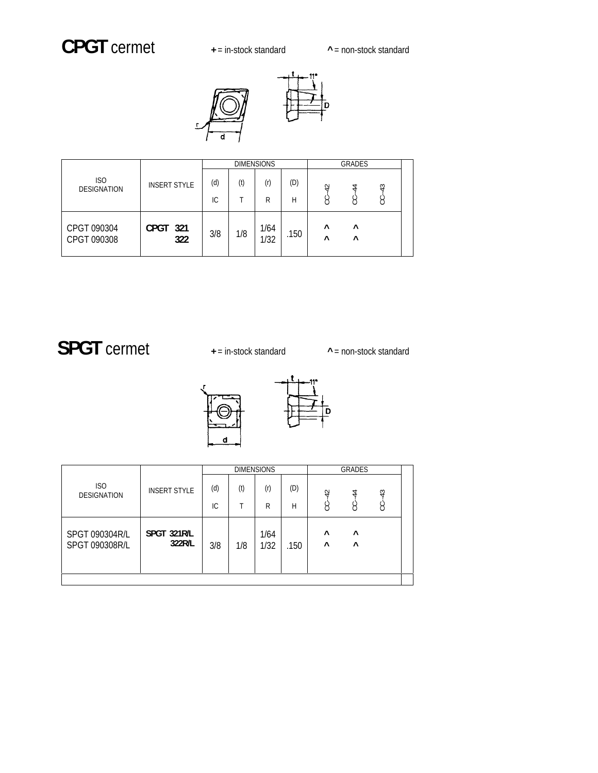## **CPGT** cermet **+** = in-stock standard **^** = non-stock standard



|                                  |                                                                                                                                                 |     |     | <b>DIMENSIONS</b> |     | <b>GRADES</b>  |   |  |
|----------------------------------|-------------------------------------------------------------------------------------------------------------------------------------------------|-----|-----|-------------------|-----|----------------|---|--|
| <b>ISO</b><br><b>DESIGNATION</b> | <b>INSERT STYLE</b>                                                                                                                             | (d) | (t) | (r)               | (D) | $\overline{4}$ | 4 |  |
|                                  | $\ddot{ }$<br>g<br>IС<br>R<br>Н<br>⌒<br>CPGT 321<br>1/64<br>$\wedge$<br>$\lambda$<br>1/8<br>3/8<br>.150<br>1/32<br>322<br>$\wedge$<br>$\lambda$ |     |     |                   |     |                |   |  |
| CPGT 090304<br>CPGT 090308       |                                                                                                                                                 |     |     |                   |     |                |   |  |

# SPGT cermet  $\longrightarrow$  + = in-stock standard  $\longrightarrow$  = non-stock standard



|                                  |                       |     |     | <b>DIMENSIONS</b> |      |                       | GRADES                 |       |  |
|----------------------------------|-----------------------|-----|-----|-------------------|------|-----------------------|------------------------|-------|--|
| ISO<br><b>DESIGNATION</b>        | <b>INSERT STYLE</b>   | (d) | (t) | (r)               | (D)  | $-42$                 | $\overline{4}$         | $-43$ |  |
|                                  |                       | IС  |     | R                 | Н    | ن                     | Ë                      | Ÿ     |  |
| SPGT 090304R/L<br>SPGT 090308R/L | SPGT 321R/L<br>322R/L | 3/8 | 1/8 | 1/64<br>1/32      | .150 | $\lambda$<br>$\wedge$ | $\lambda$<br>$\lambda$ |       |  |
|                                  |                       |     |     |                   |      |                       |                        |       |  |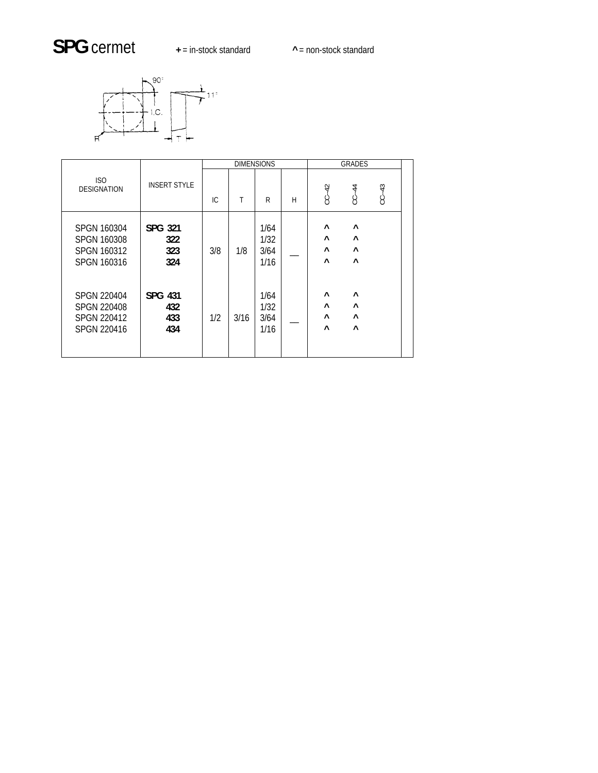# SPG cermet  $\longrightarrow$  = in-stock standard  $\longrightarrow$  = non-stock standard



|                                                                        |                                     | <b>DIMENSIONS</b> |      |                              |   |                         | <b>GRADES</b>                                |           |
|------------------------------------------------------------------------|-------------------------------------|-------------------|------|------------------------------|---|-------------------------|----------------------------------------------|-----------|
| ISO<br><b>DESIGNATION</b>                                              | <b>INSERT STYLE</b>                 | IC.               | Τ    | R                            | H | $CC-42$                 | $CC-44$                                      | $CC - 43$ |
| SPGN 160304<br>SPGN 160308<br>SPGN 160312<br>SPGN 160316               | SPG 321<br>322<br>323<br>324        | 3/8               | 1/8  | 1/64<br>1/32<br>3/64<br>1/16 |   | Λ<br>Λ<br>Λ<br>$\wedge$ | $\wedge$<br>$\wedge$<br>$\wedge$<br>$\wedge$ |           |
| <b>SPGN 220404</b><br><b>SPGN 220408</b><br>SPGN 220412<br>SPGN 220416 | <b>SPG 431</b><br>432<br>433<br>434 | 1/2               | 3/16 | 1/64<br>1/32<br>3/64<br>1/16 |   | $\wedge$<br>Λ<br>Λ<br>Λ | $\wedge$<br>$\wedge$<br>$\wedge$<br>$\wedge$ |           |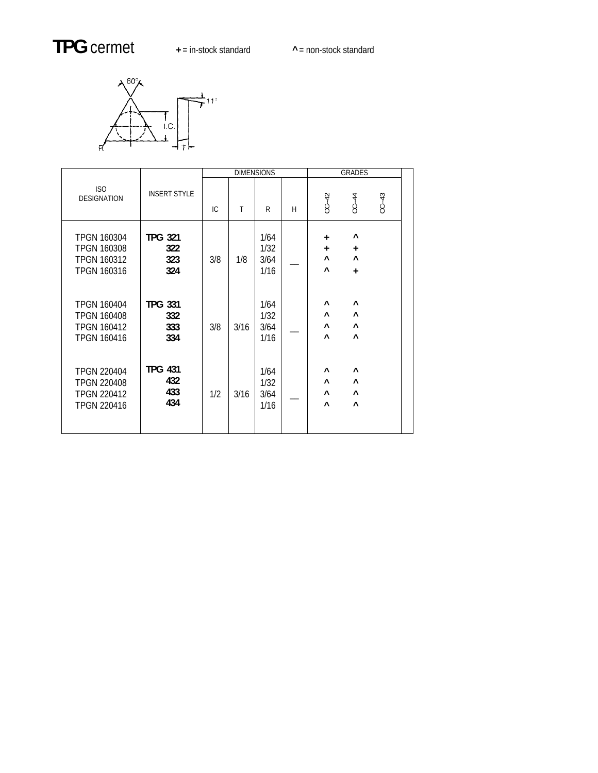# **TPG** cermet **+** = in-stock standard **^** = non-stock standard



|                                                                                      |                                     |     |      | <b>DIMENSIONS</b>            |   | GRADES                      |                                                           |         |
|--------------------------------------------------------------------------------------|-------------------------------------|-----|------|------------------------------|---|-----------------------------|-----------------------------------------------------------|---------|
| ISO<br><b>DESIGNATION</b>                                                            | <b>INSERT STYLE</b>                 | IC. | T    | R                            | H | $C - 42$                    | $C-C-44$                                                  | $CC-43$ |
| <b>TPGN 160304</b><br><b>TPGN 160308</b><br><b>TPGN 160312</b><br><b>TPGN 160316</b> | <b>TPG 321</b><br>322<br>323<br>324 | 3/8 | 1/8  | 1/64<br>1/32<br>3/64<br>1/16 |   | $+$<br>$+$<br>$\wedge$<br>Λ | $\wedge$<br>$+$<br>$\wedge$<br>$\ddot{}$                  |         |
| <b>TPGN 160404</b><br><b>TPGN 160408</b><br><b>TPGN 160412</b><br><b>TPGN 160416</b> | <b>TPG 331</b><br>332<br>333<br>334 | 3/8 | 3/16 | 1/64<br>1/32<br>3/64<br>1/16 |   | $\wedge$<br>Λ<br>Λ<br>Λ     | $\wedge$<br>$\boldsymbol{\wedge}$<br>$\wedge$<br>$\wedge$ |         |
| <b>TPGN 220404</b><br><b>TPGN 220408</b><br><b>TPGN 220412</b><br><b>TPGN 220416</b> | <b>TPG 431</b><br>432<br>433<br>434 | 1/2 | 3/16 | 1/64<br>1/32<br>3/64<br>1/16 |   | Λ<br>Λ<br>$\wedge$<br>Λ     | $\wedge$<br>$\wedge$<br>$\wedge$<br>$\wedge$              |         |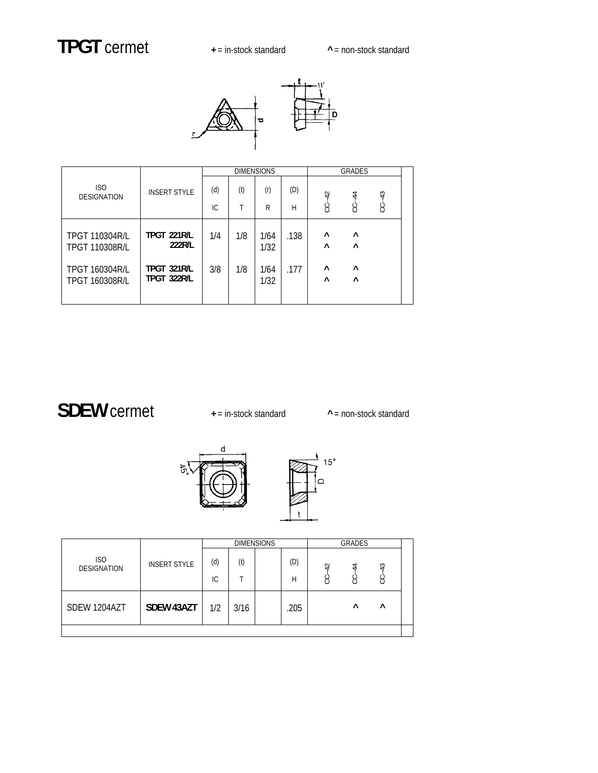

|                                                |                              |     |     | <b>DIMENSIONS</b> |      |                      | <b>GRADES</b>        |         |  |
|------------------------------------------------|------------------------------|-----|-----|-------------------|------|----------------------|----------------------|---------|--|
| ISO<br><b>DESIGNATION</b>                      | <b>INSERT STYLE</b>          | (d) | (t) | (r)               | (D)  |                      | $-44$                |         |  |
|                                                |                              | IC. | Т   | R                 | Н    | $CC-42$              | Š                    | $CC-43$ |  |
| <b>TPGT 110304R/L</b><br><b>TPGT 110308R/L</b> | <b>TPGT 221R/L</b><br>222R/L | 1/4 | 1/8 | 1/64<br>1/32      | .138 | $\wedge$<br>$\wedge$ | $\wedge$<br>$\wedge$ |         |  |
| <b>TPGT 160304R/L</b><br><b>TPGT 160308R/L</b> | TPGT 321R/L<br>TPGT 322R/L   | 3/8 | 1/8 | 1/64<br>1/32      | .177 | $\wedge$<br>$\wedge$ | $\wedge$<br>$\wedge$ |         |  |

 **SDEW** cermet **+** = in-stock standard **^** = non-stock standard





|                           |                     |     |      | <b>DIMENSIONS</b> |      | <b>GRADES</b>  |          |           |  |
|---------------------------|---------------------|-----|------|-------------------|------|----------------|----------|-----------|--|
| ISO<br><b>DESIGNATION</b> | <b>INSERT STYLE</b> | (d) | (t)  |                   | (D)  | $\overline{4}$ | 4        | 43        |  |
|                           |                     | IС  |      |                   | Н    | ਨ              | ς        |           |  |
| SDEW 1204AZT              | SDEW 43AZT          | 1/2 | 3/16 |                   | .205 |                | $\wedge$ | $\lambda$ |  |
|                           |                     |     |      |                   |      |                |          |           |  |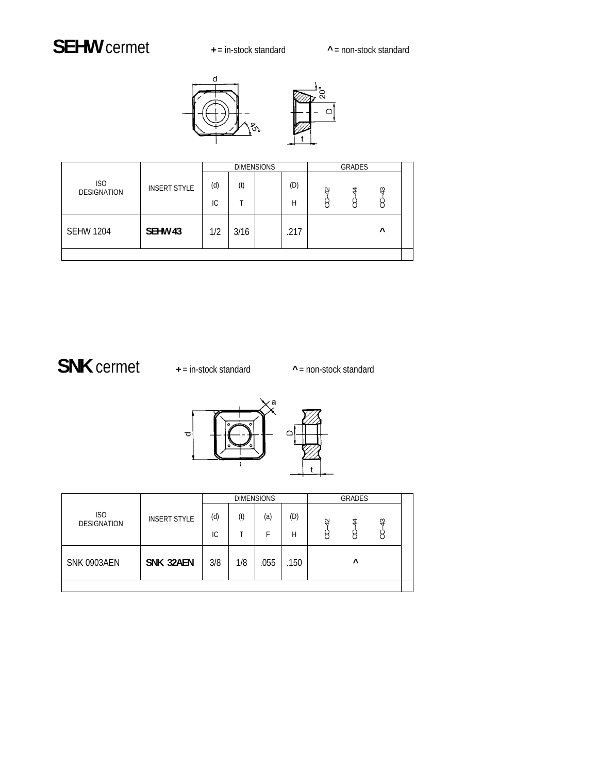## **SEHW** cermet **+** = in-stock standard **^** = non-stock standard

 $\Box$ 



|                           |                     |     |      | <b>DIMENSIONS</b> |      |                | GRADES |                |
|---------------------------|---------------------|-----|------|-------------------|------|----------------|--------|----------------|
| ISO<br><b>DESIGNATION</b> | <b>INSERT STYLE</b> | (d) | (t)  |                   | (D)  | $\overline{4}$ | 4      | $\overline{4}$ |
|                           |                     | IС  |      |                   | H    | న              | ਨ      |                |
| <b>SEHW 1204</b>          | SEHW <sub>43</sub>  | 1/2 | 3/16 |                   | .217 |                |        | $\wedge$       |
|                           |                     |     |      |                   |      |                |        |                |

## **SNK** cermet **+** = in-stock standard **^** = non-stock standard



|                           |                     |     |     | <b>DIMENSIONS</b> |      |       | <b>GRADES</b> |         |  |
|---------------------------|---------------------|-----|-----|-------------------|------|-------|---------------|---------|--|
| ISO<br><b>DESIGNATION</b> | <b>INSERT STYLE</b> | (d) | (t) | (a)               | (D)  | $-42$ | 4             |         |  |
|                           |                     | IС  |     | F                 | Н    | ن     | نې            | $CC-43$ |  |
| SNK 0903AEN               | SNK 32AEN           | 3/8 | 1/8 | .055              | .150 |       | ۸             |         |  |
|                           |                     |     |     |                   |      |       |               |         |  |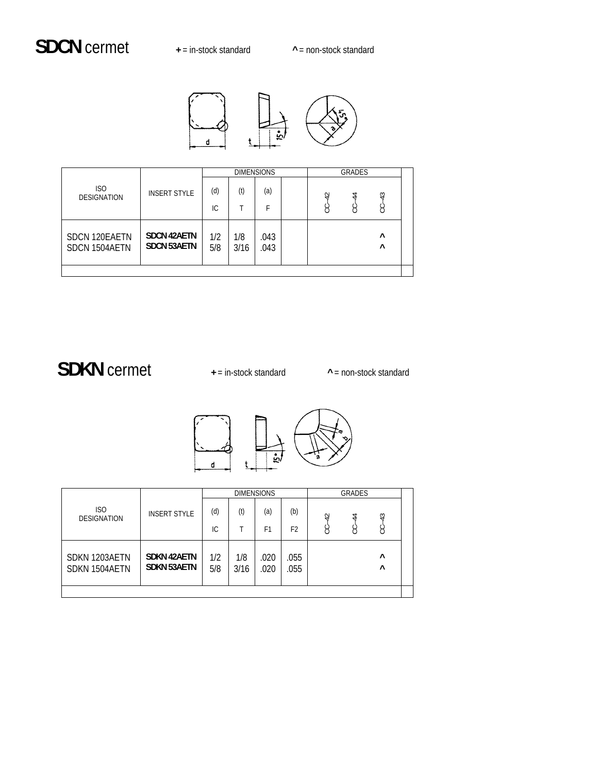

|                                |                                          |            |             | <b>DIMENSIONS</b> |                | GRADES |                      |  |
|--------------------------------|------------------------------------------|------------|-------------|-------------------|----------------|--------|----------------------|--|
| ISO<br><b>DESIGNATION</b>      | <b>INSERT STYLE</b>                      | (d)        | (t)         | (a)               | $\overline{4}$ | 4      | $\frac{3}{4}$        |  |
|                                |                                          | ТC         |             | F                 | S              | Ġ      | نې                   |  |
| SDCN 120EAETN<br>SDCN 1504AETN | <b>SDCN 42AETN</b><br><b>SDCN 53AETN</b> | 1/2<br>5/8 | 1/8<br>3/16 | .043<br>.043      |                |        | $\wedge$<br>$\wedge$ |  |
|                                |                                          |            |             |                   |                |        |                      |  |

## **SDKN** cermet **+** = in-stock standard **^** = non-stock standard



|                                  |                                          |            |             | <b>DIMENSIONS</b> |                |                | <b>GRADES</b> |                      |  |
|----------------------------------|------------------------------------------|------------|-------------|-------------------|----------------|----------------|---------------|----------------------|--|
| <b>ISO</b><br><b>DESIGNATION</b> | <b>INSERT STYLE</b>                      | (d)        | (t)         | (a)               | (b)            | $\overline{4}$ | $\ddot{4}$    | $\frac{3}{4}$        |  |
|                                  |                                          | IС         |             | F <sub>1</sub>    | F <sub>2</sub> | Š              | S             | Ë                    |  |
| SDKN 1203AETN<br>SDKN 1504AETN   | <b>SDKN 42AETN</b><br><b>SDKN 53AETN</b> | 1/2<br>5/8 | 1/8<br>3/16 | .020<br>.020      | .055<br>.055   |                |               | $\wedge$<br>$\wedge$ |  |
|                                  |                                          |            |             |                   |                |                |               |                      |  |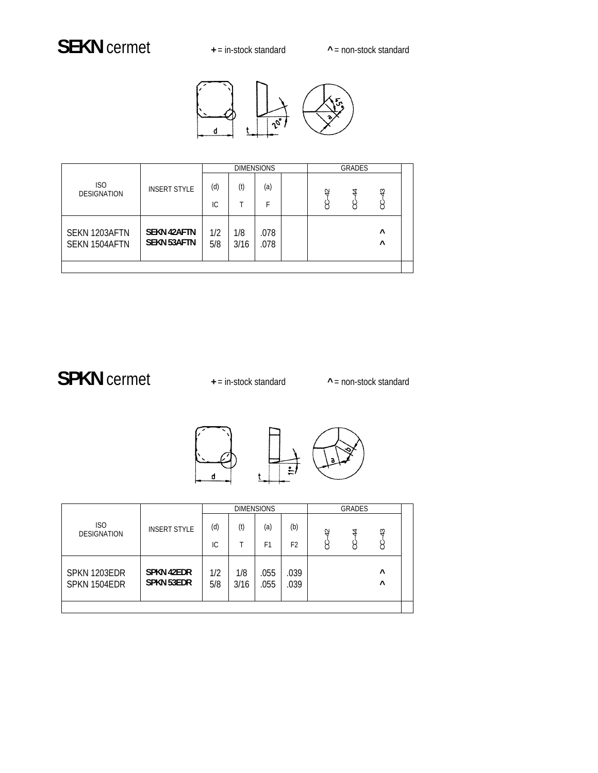## SEKN cermet  $+$  = in-stock standard  $+$  = non-stock standard



|                                  |                                          |            |             | <b>DIMENSIONS</b> |    | GRADES |                      |  |
|----------------------------------|------------------------------------------|------------|-------------|-------------------|----|--------|----------------------|--|
| <b>ISO</b><br><b>DESIGNATION</b> | <b>INSERT STYLE</b>                      | (d)        | (t)         | (a)               | 42 | 4      | $\ddot{ }$           |  |
|                                  |                                          | IC.        |             | F                 | Ÿ  | g      | Ÿ                    |  |
| SEKN 1203AFTN<br>SEKN 1504AFTN   | <b>SEKN 42AFTN</b><br><b>SEKN 53AFTN</b> | 1/2<br>5/8 | 1/8<br>3/16 | .078<br>.078      |    |        | $\wedge$<br>$\wedge$ |  |
|                                  |                                          |            |             |                   |    |        |                      |  |

## SPKN cermet  $+$  = in-stock standard  $+$  = non-stock standard



|                                       |                                        |            |             | <b>DIMENSIONS</b> |                |       | GRADES |                      |  |
|---------------------------------------|----------------------------------------|------------|-------------|-------------------|----------------|-------|--------|----------------------|--|
| IS <sub>O</sub><br><b>DESIGNATION</b> | <b>INSERT STYLE</b>                    | (d)        | (t)         | (a)               | (b)            | $-42$ | 4      | $\ddot{ }$           |  |
|                                       |                                        | IC.        |             | F1                | F <sub>2</sub> | Ġ     | Ÿ      | Ë                    |  |
| SPKN 1203EDR<br>SPKN 1504EDR          | <b>SPKN 42EDR</b><br><b>SPKN 53EDR</b> | 1/2<br>5/8 | 1/8<br>3/16 | .055<br>.055      | .039<br>.039   |       |        | $\wedge$<br>$\wedge$ |  |
|                                       |                                        |            |             |                   |                |       |        |                      |  |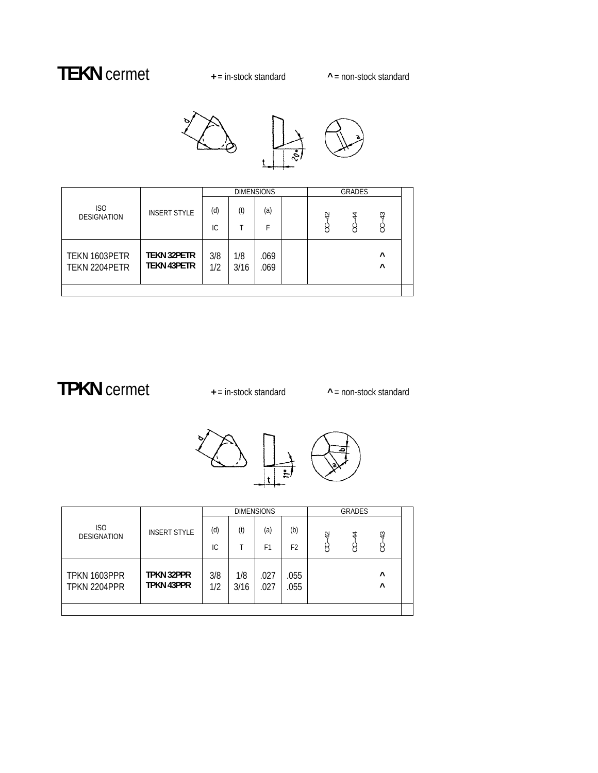## **TEKN** cermet **+** = in-stock standard **^** = non-stock standard





| ISO<br>(d)<br>(t)<br>(a)<br><b>INSERT STYLE</b><br>$-43$<br>$\overline{4}$<br>$\ddot{4}$<br><b>DESIGNATION</b><br>ġ<br>ڹ<br>3<br>IC.<br>F<br><b>TEKN 32PETR</b><br>3/8<br>$\wedge$<br>1/8<br>TEKN 1603PETR<br>.069<br><b>TEKN 43PETR</b><br>1/2<br>$\wedge$<br>TEKN 2204PETR<br>3/16<br>.069 |  |  |  | <b>DIMENSIONS</b> |  |  |  | GRADES |
|----------------------------------------------------------------------------------------------------------------------------------------------------------------------------------------------------------------------------------------------------------------------------------------------|--|--|--|-------------------|--|--|--|--------|
|                                                                                                                                                                                                                                                                                              |  |  |  |                   |  |  |  |        |
|                                                                                                                                                                                                                                                                                              |  |  |  |                   |  |  |  |        |
|                                                                                                                                                                                                                                                                                              |  |  |  |                   |  |  |  |        |

## **TPKN** cermet **+** = in-stock standard **^** = non-stock standard





|                              |                                        |            |             | <b>DIMENSIONS</b> |                |           | GRADES |                      |  |
|------------------------------|----------------------------------------|------------|-------------|-------------------|----------------|-----------|--------|----------------------|--|
| ISO<br><b>DESIGNATION</b>    | <b>INSERT STYLE</b>                    | (d)        | (t)         | (a)               | (b)            | $\varphi$ | 4      | $\ddot{a}$           |  |
|                              |                                        | IС         |             | F1                | F <sub>2</sub> | ġ         | g      | Š                    |  |
| TPKN 1603PPR<br>TPKN 2204PPR | <b>TPKN 32PPR</b><br><b>TPKN 43PPR</b> | 3/8<br>1/2 | 1/8<br>3/16 | .027<br>.027      | .055<br>.055   |           |        | $\wedge$<br>$\wedge$ |  |
|                              |                                        |            |             |                   |                |           |        |                      |  |